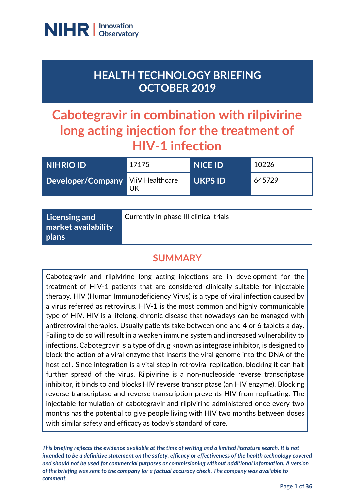

## **HEALTH TECHNOLOGY BRIEFING OCTOBER 2019**

# **Cabotegravir in combination with rilpivirine long acting injection for the treatment of HIV-1 infection**

| <b>NIHRIO ID</b>                  | 17175 | <b>NICE ID</b> | 10226  |
|-----------------------------------|-------|----------------|--------|
| Developer/Company ViiV Healthcare | UK    | <b>UKPS ID</b> | 645729 |

### **SUMMARY**

Cabotegravir and rilpivirine long acting injections are in development for the treatment of HIV-1 patients that are considered clinically suitable for injectable therapy. HIV (Human Immunodeficiency Virus) is a type of viral infection caused by a virus referred as retrovirus. HIV-1 is the most common and highly communicable type of HIV. HIV is a lifelong, chronic disease that nowadays can be managed with antiretroviral therapies. Usually patients take between one and 4 or 6 tablets a day. Failing to do so will result in a weaken immune system and increased vulnerability to infections. Cabotegravir is a type of drug known as integrase inhibitor, is designed to block the action of a viral enzyme that inserts the viral genome into the DNA of the host cell. Since integration is a vital step in retroviral replication, blocking it can halt further spread of the virus. Rilpivirine is a non-nucleoside reverse transcriptase inhibitor, it binds to and blocks HIV reverse transcriptase (an HIV enzyme). Blocking reverse transcriptase and reverse transcription prevents HIV from replicating. The injectable formulation of cabotegravir and rilpivirine administered once every two months has the potential to give people living with HIV two months between doses with similar safety and efficacy as today's standard of care.

*This briefing reflects the evidence available at the time of writing and a limited literature search. It is not intended to be a definitive statement on the safety, efficacy or effectiveness of the health technology covered and should not be used for commercial purposes or commissioning without additional information. A version of the briefing was sent to the company for a factual accuracy check. The company was available to comment.*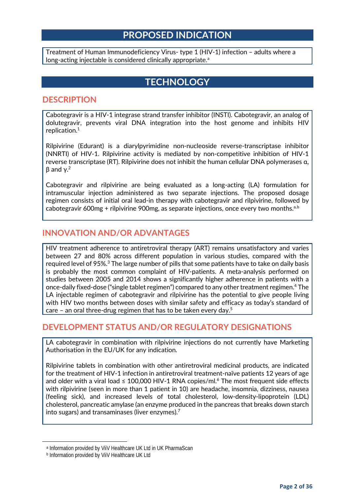### **PROPOSED INDICATION**

Treatment of Human Immunodeficiency Virus- type 1 (HIV-1) infection – adults where a long-[a](#page-1-1)cting injectable is considered clinically appropriate.<sup>a</sup>

### <span id="page-1-0"></span>**TECHNOLOGY**

#### **DESCRIPTION**

Cabotegravir is a HIV-1 integrase strand transfer inhibitor (INSTI). Cabotegravir, an analog of dolutegravir, prevents viral DNA integration into the host genome and inhibits HIV replication.1

Rilpivirine (Edurant) is a diarylpyrimidine non-nucleoside reverse-transcriptase inhibitor (NNRTI) of HIV-1. Rilpivirine activity is mediated by non-competitive inhibition of HIV-1 reverse transcriptase (RT). Rilpivirine does not inhibit the human cellular DNA polymerases α,  $β$  and γ.<sup>2</sup>

Cabotegravir and rilpivirine are being evaluated as a long-acting (LA) formulation for intramuscular injection administered as two separate injections[.](#page-1-0) The proposed dosage regimen consists of initial oral lead-in therapy with cabotegravir and rilpivirine, followed by ca[b](#page-1-2)otegravir 600mg + rilpivirine 900mg, as separate injections, once every two months.<sup>a,b</sup>

#### **INNOVATION AND/OR ADVANTAGES**

HIV treatment adherence to antiretroviral therapy (ART) remains unsatisfactory and varies between 27 and 80% across different population in various studies, compared with the required level of 95%. <sup>3</sup> The large number of pills that some patients have to take on daily basis is probably the most common complaint of HIV-patients. A meta-analysis performed on studies between 2005 and 2014 shows a significantly higher adherence in patients with a once-daily fixed-dose ("single tablet regimen") compared to any other treatment regimen.4 The LA injectable regimen of cabotegravir and rilpivirine has the potential to give people living with HIV two months between doses with similar safety and efficacy as today's standard of care – an oral three-drug regimen that has to be taken every day. $^5$ 

#### **DEVELOPMENT STATUS AND/OR REGULATORY DESIGNATIONS**

LA cabotegravir in combination with rilpivirine injections do not currently have Marketing Authorisation in the EU/UK for any indication.

Rilpivirine tablets in combination with other antiretroviral medicinal products, are indicated for the treatment of HIV-1 infection in antiretroviral treatment-naïve patients 12 years of age and older with a viral load  $\leq 100,000$  HIV-1 RNA copies/ml.<sup>6</sup> The most frequent side effects with rilpivirine (seen in more than 1 patient in 10) are headache, insomnia, dizziness, nausea (feeling sick), and increased levels of total cholesterol, low-density-lipoprotein (LDL) cholesterol, pancreatic amylase (an enzyme produced in the pancreas that breaks down starch into sugars) and transaminases (liver enzymes). $<sup>7</sup>$ </sup>

<span id="page-1-2"></span><span id="page-1-1"></span> $\overline{a}$ 

<sup>a</sup> Information provided by ViiV Healthcare UK Ltd in UK PharmaScan

**b** Information provided by ViiV Healthcare UK Ltd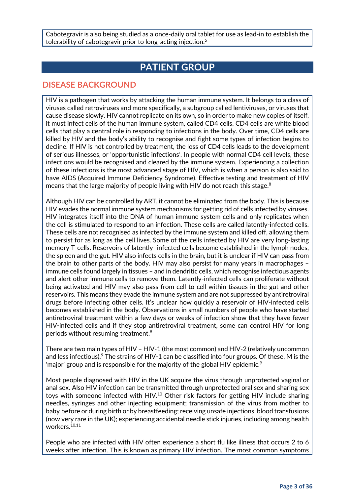Cabotegravir is also being studied as a once-daily oral tablet for use as lead-in to establish the tolerability of cabotegravir prior to long-acting injection.<sup>5</sup>

### **PATIENT GROUP**

#### **DISEASE BACKGROUND**

HIV is a pathogen that works by attacking the human immune system. It belongs to a class of viruses called retroviruses and more specifically, a subgroup called lentiviruses, or viruses that cause disease slowly. HIV cannot replicate on its own, so in order to make new copies of itself, it must infect cells of the human immune system, called CD4 cells. CD4 cells are white blood cells that play a central role in responding to infections in the body. Over time, CD4 cells are killed by HIV and the body's ability to recognise and fight some types of infection begins to decline. If HIV is not controlled by treatment, the loss of CD4 cells leads to the development of serious illnesses, or 'opportunistic infections'. In people with normal CD4 cell levels, these infections would be recognised and cleared by the immune system. Experiencing a collection of these infections is the most advanced stage of HIV, which is when a person is also said to have AIDS (Acquired Immune Deficiency Syndrome). Effective testing and treatment of HIV means that the large majority of people living with HIV do not reach this stage.<sup>8</sup>

Although HIV can be controlled by ART, it cannot be eliminated from the body. This is because HIV evades the normal immune system mechanisms for getting rid of cells infected by viruses. HIV integrates itself into the DNA of human immune system cells and only replicates when the cell is stimulated to respond to an infection. These cells are called latently-infected cells. These cells are not recognised as infected by the immune system and killed off, allowing them to persist for as long as the cell lives. Some of the cells infected by HIV are very long-lasting memory T-cells. Reservoirs of latently- infected cells become established in the lymph nodes, the spleen and the gut. HIV also infects cells in the brain, but it is unclear if HIV can pass from the brain to other parts of the body. HIV may also persist for many years in macrophages – immune cells found largely in tissues – and in dendritic cells, which recognise infectious agents and alert other immune cells to remove them. Latently-infected cells can proliferate without being activated and HIV may also pass from cell to cell within tissues in the gut and other reservoirs. This means they evade the immune system and are not suppressed by antiretroviral drugs before infecting other cells. It's unclear how quickly a reservoir of HIV-infected cells becomes established in the body. Observations in small numbers of people who have started antiretroviral treatment within a few days or weeks of infection show that they have fewer HIV-infected cells and if they stop antiretroviral treatment, some can control HIV for long periods without resuming treatment.8

There are two main types of HIV – HIV-1 (the most common) and HIV-2 (relatively uncommon and less infectious).<sup>9</sup> The strains of HIV-1 can be classified into four groups. Of these, M is the 'major' group and is responsible for the majority of the global HIV epidemic.<sup>9</sup>

Most people diagnosed with HIV in the UK acquire the virus through unprotected vaginal or anal sex. Also HIV infection can be transmitted through unprotected oral sex and sharing sex toys with someone infected with HIV.<sup>10</sup> Other risk factors for getting HIV include sharing needles, syringes and other injecting equipment; transmission of the virus from mother to baby before or during birth or by breastfeeding; receiving unsafe injections, blood transfusions (now very rare in the UK); experiencing accidental needle stick injuries, including among health workers.10,11

People who are infected with HIV often experience a short flu like illness that occurs 2 to 6 weeks after infection. This is known as primary HIV infection. The most common symptoms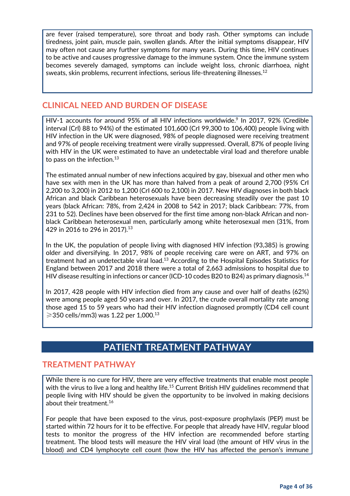are fever (raised temperature), sore throat and body rash. Other symptoms can include tiredness, joint pain, muscle pain, swollen glands. After the initial symptoms disappear, HIV may often not cause any further symptoms for many years. During this time, HIV continues to be active and causes progressive damage to the immune system. Once the immune system becomes severely damaged, symptoms can include weight loss, chronic diarrhoea, night sweats, skin problems, recurrent infections, serious life-threatening illnesses. 12

#### **CLINICAL NEED AND BURDEN OF DISEASE**

HIV-1 accounts for around 95% of all HIV infections worldwide.<sup>9</sup> In 2017, 92% (Credible interval (Crl) 88 to 94%) of the estimated 101,600 (CrI 99,300 to 106,400) people living with HIV infection in the UK were diagnosed, 98% of people diagnosed were receiving treatment and 97% of people receiving treatment were virally suppressed. Overall, 87% of people living with HIV in the UK were estimated to have an undetectable viral load and therefore unable to pass on the infection.<sup>13</sup>

The estimated annual number of new infections acquired by gay, bisexual and other men who have sex with men in the UK has more than halved from a peak of around 2,700 (95% CrI 2,200 to 3,200) in 2012 to 1,200 (CrI 600 to 2,100) in 2017. New HIV diagnoses in both black African and black Caribbean heterosexuals have been decreasing steadily over the past 10 years (black African: 78%, from 2,424 in 2008 to 542 in 2017; black Caribbean: 77%, from 231 to 52). Declines have been observed for the first time among non-black African and nonblack Caribbean heterosexual men, particularly among white heterosexual men (31%, from 429 in 2016 to 296 in 2017).13

In the UK, the population of people living with diagnosed HIV infection (93,385) is growing older and diversifying. In 2017, 98% of people receiving care were on ART, and 97% on treatment had an undetectable viral load.<sup>13</sup> According to the Hospital Episodes Statistics for England between 2017 and 2018 there were a total of 2,663 admissions to hospital due to HIV disease resulting in infections or cancer (ICD-10 codes B20 to B24) as primary diagnosis.14

In 2017, 428 people with HIV infection died from any cause and over half of deaths (62%) were among people aged 50 years and over. In 2017, the crude overall mortality rate among those aged 15 to 59 years who had their HIV infection diagnosed promptly (CD4 cell count  $≥$ 350 cells/mm3) was 1.22 per 1,000.<sup>13</sup>

### **PATIENT TREATMENT PATHWAY**

#### **TREATMENT PATHWAY**

While there is no cure for HIV, there are very effective treatments that enable most people with the virus to live a long and healthy life.<sup>15</sup> Current British HIV guidelines recommend that people living with HIV should be given the opportunity to be involved in making decisions about their treatment. $^{16}$ 

For people that have been exposed to the virus, post-exposure prophylaxis (PEP) must be started within 72 hours for it to be effective. For people that already have HIV, regular blood tests to monitor the progress of the HIV infection are recommended before starting treatment. The blood tests will measure the HIV viral load (the amount of HIV virus in the blood) and CD4 lymphocyte cell count (how the HIV has affected the person's immune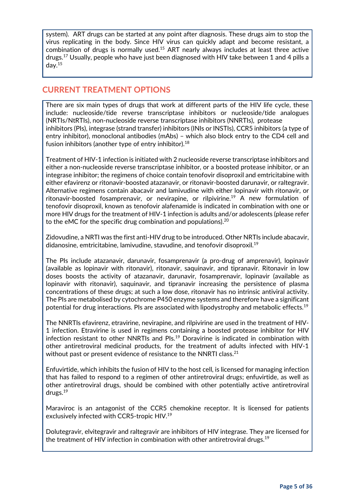system). ART drugs can be started at any point after diagnosis. These drugs aim to stop the virus replicating in the body. Since HIV virus can quickly adapt and become resistant, a combination of drugs is normally used.15 ART nearly always includes at least three active drugs.17 Usually, people who have just been diagnosed with HIV take between 1 and 4 pills a day. 15

#### **CURRENT TREATMENT OPTIONS**

There are six main types of drugs that work at different parts of the HIV life cycle, these include: nucleoside/tide reverse transcriptase inhibitors or nucleoside/tide analogues (NRTIs/NtRTIs), non-nucleoside reverse transcriptase inhibitors (NNRTIs), protease inhibitors (PIs), integrase (strand transfer) inhibitors (INIs or INSTIs), CCR5 inhibitors (a type of entry inhibitor), monoclonal antibodies (mAbs) – which also block entry to the CD4 cell and fusion inhibitors (another type of entry inhibitor).<sup>18</sup>

Treatment of HIV-1 infection is initiated with 2 nucleoside reverse transcriptase inhibitors and either a non-nucleoside reverse transcriptase inhibitor, or a boosted protease inhibitor, or an integrase inhibitor; the regimens of choice contain tenofovir disoproxil and emtricitabine with either efavirenz or ritonavir-boosted atazanavir, or ritonavir-boosted darunavir, or raltegravir. Alternative regimens contain abacavir and lamivudine with either lopinavir with ritonavir, or ritonavir-boosted fosamprenavir, or nevirapine, or rilpivirine.<sup>19</sup> A new formulation of tenofovir disoproxil, known as tenofovir alafenamide is indicated in combination with one or more HIV drugs for the treatment of HIV-1 infection is adults and/or adolescents (please refer to the eMC for the specific drug combination and populations).<sup>20</sup>

Zidovudine, a NRTI was the first anti-HIV drug to be introduced. Other NRTIs include abacavir, didanosine, emtricitabine, lamivudine, stavudine, and tenofovir disoproxil.19

The PIs include atazanavir, darunavir, fosamprenavir (a pro-drug of amprenavir), lopinavir (available as lopinavir with ritonavir), ritonavir, saquinavir, and tipranavir. Ritonavir in low doses boosts the activity of atazanavir, darunavir, fosamprenavir, lopinavir (available as lopinavir with ritonavir), saquinavir, and tipranavir increasing the persistence of plasma concentrations of these drugs; at such a low dose, ritonavir has no intrinsic antiviral activity. The PIs are metabolised by cytochrome P450 enzyme systems and therefore have a significant potential for drug interactions. Pls are associated with lipodystrophy and metabolic effects.<sup>19</sup>

The NNRTIs efavirenz, etravirine, nevirapine, and rilpivirine are used in the treatment of HIV-1 infection. Etravirine is used in regimens containing a boosted protease inhibitor for HIV infection resistant to other NNRTIs and PIs.<sup>19</sup> Doravirine is indicated in combination with other antiretroviral medicinal products, for the treatment of adults infected with HIV-1 without past or present evidence of resistance to the NNRTI class. 21

Enfuvirtide, which inhibits the fusion of HIV to the host cell, is licensed for managing infection that has failed to respond to a regimen of other antiretroviral drugs; enfuvirtide, as well as other antiretroviral drugs, should be combined with other potentially active antiretroviral drugs.19

Maraviroc is an antagonist of the CCR5 chemokine receptor. It is licensed for patients exclusively infected with CCR5-tropic HIV.19

Dolutegravir, elvitegravir and raltegravir are inhibitors of HIV integrase. They are licensed for the treatment of HIV infection in combination with other antiretroviral drugs.19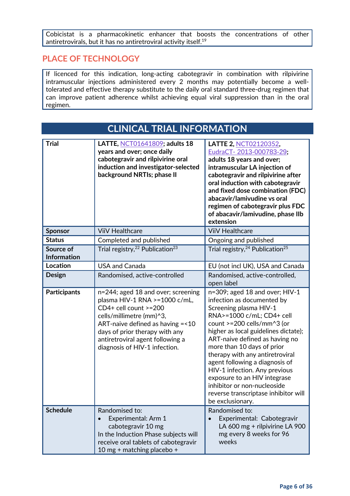Cobicistat is a pharmacokinetic enhancer that boosts the concentrations of other antiretrovirals, but it has no antiretroviral activity itself.19

#### **PLACE OF TECHNOLOGY**

If licenced for this indication, long-acting cabotegravir in combination with rilpivirine intramuscular injections administered every 2 months may potentially become a welltolerated and effective therapy substitute to the daily oral standard three-drug regimen that can improve patient adherence whilst achieving equal viral suppression than in the oral regimen.

| <b>CLINICAL TRIAL INFORMATION</b> |                                                                                                                                                                                                                                                                       |                                                                                                                                                                                                                                                                                                                                                                                                                                                                                            |
|-----------------------------------|-----------------------------------------------------------------------------------------------------------------------------------------------------------------------------------------------------------------------------------------------------------------------|--------------------------------------------------------------------------------------------------------------------------------------------------------------------------------------------------------------------------------------------------------------------------------------------------------------------------------------------------------------------------------------------------------------------------------------------------------------------------------------------|
| <b>Trial</b>                      | LATTE, NCT01641809; adults 18<br>years and over; once daily<br>cabotegravir and rilpivirine oral<br>induction and investigator-selected<br>background NRTIs; phase II                                                                                                 | LATTE 2, NCT02120352,<br>EudraCT- 2013-000783-29;<br>adults 18 years and over;<br>intramuscular LA injection of<br>cabotegravir and rilpivirine after<br>oral induction with cabotegravir<br>and fixed dose combination (FDC)<br>abacavir/lamivudine vs oral<br>regimen of cabotegravir plus FDC<br>of abacavir/lamivudine, phase IIb<br>extension                                                                                                                                         |
| <b>Sponsor</b>                    | <b>ViiV Healthcare</b>                                                                                                                                                                                                                                                | <b>ViiV Healthcare</b>                                                                                                                                                                                                                                                                                                                                                                                                                                                                     |
| <b>Status</b>                     | Completed and published                                                                                                                                                                                                                                               | Ongoing and published                                                                                                                                                                                                                                                                                                                                                                                                                                                                      |
| Source of<br><b>Information</b>   | Trial registry, <sup>22</sup> Publication <sup>23</sup>                                                                                                                                                                                                               | Trial registry, <sup>24</sup> Publication <sup>25</sup>                                                                                                                                                                                                                                                                                                                                                                                                                                    |
| Location                          | <b>USA and Canada</b>                                                                                                                                                                                                                                                 | EU (not incl UK), USA and Canada                                                                                                                                                                                                                                                                                                                                                                                                                                                           |
| <b>Design</b>                     | Randomised, active-controlled                                                                                                                                                                                                                                         | Randomised, active-controlled,<br>open label                                                                                                                                                                                                                                                                                                                                                                                                                                               |
| <b>Participants</b>               | n=244; aged 18 and over; screening<br>plasma HIV-1 RNA >=1000 c/mL,<br>CD4+ cell count >=200<br>cells/millimetre (mm)^3,<br>ART-naive defined as having = < 10<br>days of prior therapy with any<br>antiretroviral agent following a<br>diagnosis of HIV-1 infection. | n=309; aged 18 and over; HIV-1<br>infection as documented by<br>Screening plasma HIV-1<br>RNA>=1000 c/mL; CD4+ cell<br>count >=200 cells/mm^3 (or<br>higher as local guidelines dictate);<br>ART-naive defined as having no<br>more than 10 days of prior<br>therapy with any antiretroviral<br>agent following a diagnosis of<br>HIV-1 infection. Any previous<br>exposure to an HIV integrase<br>inhibitor or non-nucleoside<br>reverse transcriptase inhibitor will<br>be exclusionary. |
| <b>Schedule</b>                   | Randomised to:<br>Experimental: Arm 1<br>cabotegravir 10 mg<br>In the Induction Phase subjects will<br>receive oral tablets of cabotegravir<br>10 mg + matching placebo +                                                                                             | Randomised to:<br>Experimental: Cabotegravir<br>LA 600 mg + rilpivirine LA 900<br>mg every 8 weeks for 96<br>weeks                                                                                                                                                                                                                                                                                                                                                                         |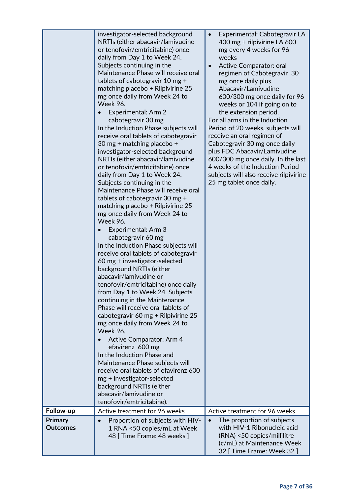| Follow-up                         | investigator-selected background<br>NRTIs (either abacavir/lamivudine<br>or tenofovir/emtricitabine) once<br>daily from Day 1 to Week 24.<br>Subjects continuing in the<br>Maintenance Phase will receive oral<br>tablets of cabotegravir 10 mg +<br>matching placebo + Rilpivirine 25<br>mg once daily from Week 24 to<br><b>Week 96.</b><br>Experimental: Arm 2<br>cabotegravir 30 mg<br>In the Induction Phase subjects will<br>receive oral tablets of cabotegravir<br>30 mg + matching placebo +<br>investigator-selected background<br>NRTIs (either abacavir/lamivudine<br>or tenofovir/emtricitabine) once<br>daily from Day 1 to Week 24.<br>Subjects continuing in the<br>Maintenance Phase will receive oral<br>tablets of cabotegravir 30 mg +<br>matching placebo + Rilpivirine 25<br>mg once daily from Week 24 to<br><b>Week 96.</b><br>Experimental: Arm 3<br>cabotegravir 60 mg<br>In the Induction Phase subjects will<br>receive oral tablets of cabotegravir<br>60 mg + investigator-selected<br>background NRTIs (either<br>abacavir/lamivudine or<br>tenofovir/emtricitabine) once daily<br>from Day 1 to Week 24. Subjects<br>continuing in the Maintenance<br>Phase will receive oral tablets of<br>cabotegravir 60 mg + Rilpivirine 25<br>mg once daily from Week 24 to<br><b>Week 96.</b><br><b>Active Comparator: Arm 4</b><br>efavirenz 600 mg<br>In the Induction Phase and<br>Maintenance Phase subjects will<br>receive oral tablets of efavirenz 600<br>mg + investigator-selected<br>background NRTIs (either<br>abacavir/lamivudine or<br>tenofovir/emtricitabine).<br>Active treatment for 96 weeks | Experimental: Cabotegravir LA<br>$\bullet$<br>400 mg + rilpivirine LA 600<br>mg every 4 weeks for 96<br>weeks<br>Active Comparator: oral<br>$\bullet$<br>regimen of Cabotegravir 30<br>mg once daily plus<br>Abacavir/Lamivudine<br>600/300 mg once daily for 96<br>weeks or 104 if going on to<br>the extension period.<br>For all arms in the Induction<br>Period of 20 weeks, subjects will<br>receive an oral regimen of<br>Cabotegravir 30 mg once daily<br>plus FDC Abacavir/Lamivudine<br>600/300 mg once daily. In the last<br>4 weeks of the Induction Period<br>subjects will also receive rilpivirine<br>25 mg tablet once daily.<br>Active treatment for 96 weeks |
|-----------------------------------|----------------------------------------------------------------------------------------------------------------------------------------------------------------------------------------------------------------------------------------------------------------------------------------------------------------------------------------------------------------------------------------------------------------------------------------------------------------------------------------------------------------------------------------------------------------------------------------------------------------------------------------------------------------------------------------------------------------------------------------------------------------------------------------------------------------------------------------------------------------------------------------------------------------------------------------------------------------------------------------------------------------------------------------------------------------------------------------------------------------------------------------------------------------------------------------------------------------------------------------------------------------------------------------------------------------------------------------------------------------------------------------------------------------------------------------------------------------------------------------------------------------------------------------------------------------------------------------------------------------------------------------|-------------------------------------------------------------------------------------------------------------------------------------------------------------------------------------------------------------------------------------------------------------------------------------------------------------------------------------------------------------------------------------------------------------------------------------------------------------------------------------------------------------------------------------------------------------------------------------------------------------------------------------------------------------------------------|
| <b>Primary</b><br><b>Outcomes</b> | Proportion of subjects with HIV-<br>1 RNA <50 copies/mL at Week<br>48 [ Time Frame: 48 weeks ]                                                                                                                                                                                                                                                                                                                                                                                                                                                                                                                                                                                                                                                                                                                                                                                                                                                                                                                                                                                                                                                                                                                                                                                                                                                                                                                                                                                                                                                                                                                                         | The proportion of subjects<br>$\bullet$<br>with HIV-1 Ribonucleic acid<br>(RNA) <50 copies/millilitre                                                                                                                                                                                                                                                                                                                                                                                                                                                                                                                                                                         |
|                                   |                                                                                                                                                                                                                                                                                                                                                                                                                                                                                                                                                                                                                                                                                                                                                                                                                                                                                                                                                                                                                                                                                                                                                                                                                                                                                                                                                                                                                                                                                                                                                                                                                                        | (c/mL) at Maintenance Week<br>32 [ Time Frame: Week 32 ]                                                                                                                                                                                                                                                                                                                                                                                                                                                                                                                                                                                                                      |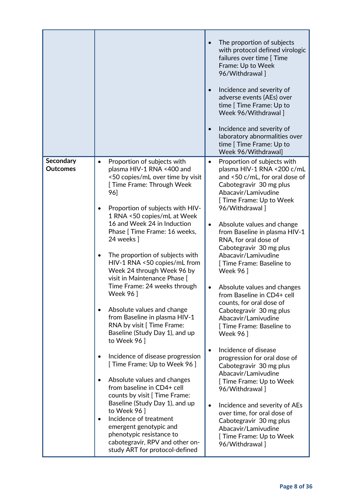|                                     |                                                                                                                                                                                                                                                                                                                                                                                                                                                                                                                                                                                                                                                                                                                                                                                                                                                                                                                                                                                                                   | The proportion of subjects<br>with protocol defined virologic<br>failures over time [ Time<br>Frame: Up to Week<br>96/Withdrawal]<br>Incidence and severity of<br>adverse events (AEs) over<br>time [ Time Frame: Up to<br>Week 96/Withdrawal]<br>Incidence and severity of<br>$\bullet$<br>laboratory abnormalities over<br>time [ Time Frame: Up to<br>Week 96/Withdrawal]                                                                                                                                                                                                                                                                                                                                                                                                                                                                                                                                                        |
|-------------------------------------|-------------------------------------------------------------------------------------------------------------------------------------------------------------------------------------------------------------------------------------------------------------------------------------------------------------------------------------------------------------------------------------------------------------------------------------------------------------------------------------------------------------------------------------------------------------------------------------------------------------------------------------------------------------------------------------------------------------------------------------------------------------------------------------------------------------------------------------------------------------------------------------------------------------------------------------------------------------------------------------------------------------------|-------------------------------------------------------------------------------------------------------------------------------------------------------------------------------------------------------------------------------------------------------------------------------------------------------------------------------------------------------------------------------------------------------------------------------------------------------------------------------------------------------------------------------------------------------------------------------------------------------------------------------------------------------------------------------------------------------------------------------------------------------------------------------------------------------------------------------------------------------------------------------------------------------------------------------------|
| <b>Secondary</b><br><b>Outcomes</b> | Proportion of subjects with<br>plasma HIV-1 RNA <400 and<br><50 copies/mL over time by visit<br>[ Time Frame: Through Week<br>96]<br>Proportion of subjects with HIV-<br>1 RNA <50 copies/mL at Week<br>16 and Week 24 in Induction<br>Phase [ Time Frame: 16 weeks,<br>24 weeks ]<br>The proportion of subjects with<br>$\bullet$<br>HIV-1 RNA <50 copies/mL from<br>Week 24 through Week 96 by<br>visit in Maintenance Phase [<br>Time Frame: 24 weeks through<br>Week 96 ]<br>Absolute values and change<br>from Baseline in plasma HIV-1<br>RNA by visit [ Time Frame:<br>Baseline (Study Day 1), and up<br>to Week 96]<br>Incidence of disease progression<br>[ Time Frame: Up to Week 96 ]<br>Absolute values and changes<br>from baseline in CD4+ cell<br>counts by visit [ Time Frame:<br>Baseline (Study Day 1), and up<br>to Week 96]<br>Incidence of treatment<br>$\bullet$<br>emergent genotypic and<br>phenotypic resistance to<br>cabotegravir, RPV and other on-<br>study ART for protocol-defined | Proportion of subjects with<br>$\bullet$<br>plasma HIV-1 RNA <200 c/mL<br>and <50 c/mL, for oral dose of<br>Cabotegravir 30 mg plus<br>Abacavir/Lamivudine<br>[ Time Frame: Up to Week<br>96/Withdrawal]<br>Absolute values and change<br>$\bullet$<br>from Baseline in plasma HIV-1<br>RNA, for oral dose of<br>Cabotegravir 30 mg plus<br>Abacavir/Lamivudine<br>[ Time Frame: Baseline to<br><b>Week 961</b><br>Absolute values and changes<br>from Baseline in CD4+ cell<br>counts, for oral dose of<br>Cabotegravir 30 mg plus<br>Abacavir/Lamivudine<br>[ Time Frame: Baseline to<br><b>Week 96</b> ]<br>Incidence of disease<br>progression for oral dose of<br>Cabotegravir 30 mg plus<br>Abacavir/Lamivudine<br>[ Time Frame: Up to Week<br>96/Withdrawal]<br>Incidence and severity of AEs<br>over time, for oral dose of<br>Cabotegravir 30 mg plus<br>Abacavir/Lamivudine<br>[ Time Frame: Up to Week<br>96/Withdrawal] |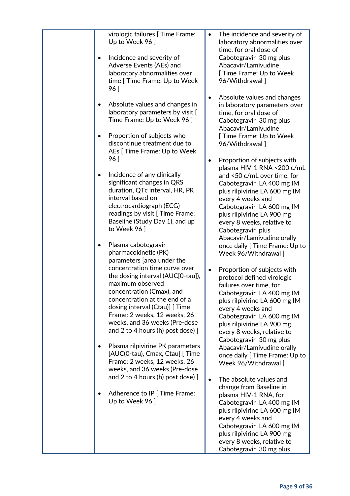| virologic failures [ Time Frame:<br>Up to Week 96]<br>Incidence and severity of<br>Adverse Events (AEs) and<br>laboratory abnormalities over<br>time [ Time Frame: Up to Week<br>96]                                                                                                          | The incidence and severity of<br>$\bullet$<br>laboratory abnormalities over<br>time, for oral dose of<br>Cabotegravir 30 mg plus<br>Abacavir/Lamivudine<br>[ Time Frame: Up to Week<br>96/Withdrawal]                                                                         |
|-----------------------------------------------------------------------------------------------------------------------------------------------------------------------------------------------------------------------------------------------------------------------------------------------|-------------------------------------------------------------------------------------------------------------------------------------------------------------------------------------------------------------------------------------------------------------------------------|
| Absolute values and changes in<br>laboratory parameters by visit [<br>Time Frame: Up to Week 96 ]<br>Proportion of subjects who<br>discontinue treatment due to                                                                                                                               | Absolute values and changes<br>$\bullet$<br>in laboratory parameters over<br>time, for oral dose of<br>Cabotegravir 30 mg plus<br>Abacavir/Lamivudine<br>[ Time Frame: Up to Week<br>96/Withdrawal 1                                                                          |
| AEs [ Time Frame: Up to Week<br>96]                                                                                                                                                                                                                                                           | Proportion of subjects with<br>$\bullet$                                                                                                                                                                                                                                      |
| Incidence of any clinically<br>significant changes in QRS<br>duration, QTc interval, HR, PR<br>interval based on<br>electrocardiograph (ECG)<br>readings by visit [ Time Frame:<br>Baseline (Study Day 1), and up<br>to Week 96                                                               | plasma HIV-1 RNA <200 c/mL<br>and <50 c/mL over time, for<br>Cabotegravir LA 400 mg IM<br>plus rilpivirine LA 600 mg IM<br>every 4 weeks and<br>Cabotegravir LA 600 mg IM<br>plus rilpivirine LA 900 mg<br>every 8 weeks, relative to<br>Cabotegravir plus                    |
| Plasma cabotegravir<br>٠<br>pharmacokinetic (PK)<br>parameters [area under the                                                                                                                                                                                                                | Abacavir/Lamivudine orally<br>once daily [ Time Frame: Up to<br>Week 96/Withdrawal]                                                                                                                                                                                           |
| concentration time curve over<br>the dosing interval (AUC[0-tau]),<br>maximum observed<br>concentration (Cmax), and<br>concentration at the end of a<br>dosing interval (Ctau)] [Time<br>Frame: 2 weeks, 12 weeks, 26<br>weeks, and 36 weeks (Pre-dose<br>and 2 to 4 hours (h) post dose) $]$ | Proportion of subjects with<br>$\bullet$<br>protocol defined virologic<br>failures over time, for<br>Cabotegravir LA 400 mg IM<br>plus rilpivirine LA 600 mg IM<br>every 4 weeks and<br>Cabotegravir LA 600 mg IM<br>plus rilpivirine LA 900 mg<br>every 8 weeks, relative to |
| Plasma rilpivirine PK parameters<br>[AUC(0-tau), Cmax, Ctau] [ Time<br>Frame: 2 weeks, 12 weeks, 26<br>weeks, and 36 weeks (Pre-dose                                                                                                                                                          | Cabotegravir 30 mg plus<br>Abacavir/Lamivudine orally<br>once daily [ Time Frame: Up to<br>Week 96/Withdrawal ]                                                                                                                                                               |
| and 2 to 4 hours (h) post dose) $]$<br>Adherence to IP [ Time Frame:<br>Up to Week 96 ]                                                                                                                                                                                                       | The absolute values and<br>$\bullet$<br>change from Baseline in<br>plasma HIV-1 RNA, for<br>Cabotegravir LA 400 mg IM<br>plus rilpivirine LA 600 mg IM<br>every 4 weeks and<br>Cabotegravir LA 600 mg IM                                                                      |
|                                                                                                                                                                                                                                                                                               | plus rilpivirine LA 900 mg<br>every 8 weeks, relative to<br>Cabotegravir 30 mg plus                                                                                                                                                                                           |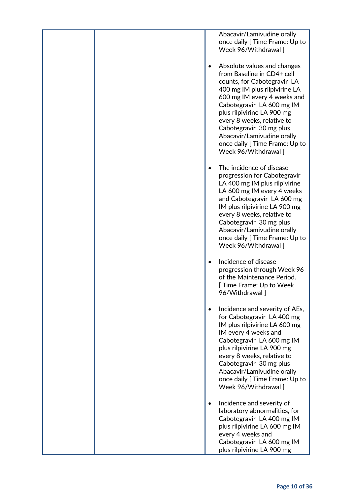Abacavir/Lamivudine orally once daily [ Time Frame: Up to Week 96/Withdrawal ]

- Absolute values and changes from Baseline in CD4+ cell counts, for Cabotegravir LA 400 mg IM plus rilpivirine LA 600 mg IM every 4 weeks and Cabotegravir LA 600 mg IM plus rilpivirine LA 900 mg every 8 weeks, relative to Cabotegravir 30 mg plus Abacavir/Lamivudine orally once daily [ Time Frame: Up to Week 96/Withdrawal ]
- The incidence of disease progression for Cabotegravir LA 400 mg IM plus rilpivirine LA 600 mg IM every 4 weeks and Cabotegravir LA 600 mg IM plus rilpivirine LA 900 mg every 8 weeks, relative to Cabotegravir 30 mg plus Abacavir/Lamivudine orally once daily [ Time Frame: Up to Week 96/Withdrawal ]
- Incidence of disease progression through Week 96 of the Maintenance Period. [ Time Frame: Up to Week 96/Withdrawal ]
- Incidence and severity of AEs, for Cabotegravir LA 400 mg IM plus rilpivirine LA 600 mg IM every 4 weeks and Cabotegravir LA 600 mg IM plus rilpivirine LA 900 mg every 8 weeks, relative to Cabotegravir 30 mg plus Abacavir/Lamivudine orally once daily [ Time Frame: Up to Week 96/Withdrawal ]
- Incidence and severity of laboratory abnormalities, for Cabotegravir LA 400 mg IM plus rilpivirine LA 600 mg IM every 4 weeks and Cabotegravir LA 600 mg IM plus rilpivirine LA 900 mg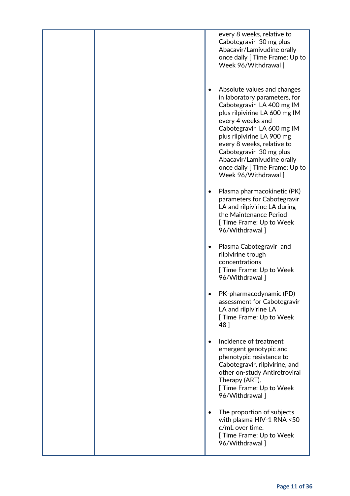every 8 weeks, relative to Cabotegravir 30 mg plus Abacavir/Lamivudine orally once daily [ Time Frame: Up to Week 96/Withdrawal ]

- Absolute values and changes in laboratory parameters, for Cabotegravir LA 400 mg IM plus rilpivirine LA 600 mg IM every 4 weeks and Cabotegravir LA 600 mg IM plus rilpivirine LA 900 mg every 8 weeks, relative to Cabotegravir 30 mg plus Abacavir/Lamivudine orally once daily [ Time Frame: Up to Week 96/Withdrawal ]
- Plasma pharmacokinetic (PK) parameters for Cabotegravir LA and rilpivirine LA during the Maintenance Period [ Time Frame: Up to Week 96/Withdrawal ]
- Plasma Cabotegravir and rilpivirine trough concentrations [ Time Frame: Up to Week 96/Withdrawal ]
- PK-pharmacodynamic (PD) assessment for Cabotegravir LA and rilpivirine LA [ Time Frame: Up to Week 48 ]
- Incidence of treatment emergent genotypic and phenotypic resistance to Cabotegravir, rilpivirine, and other on-study Antiretroviral Therapy (ART). [ Time Frame: Up to Week 96/Withdrawal ]
- The proportion of subjects with plasma HIV-1 RNA <50 c/mL over time. [ Time Frame: Up to Week 96/Withdrawal ]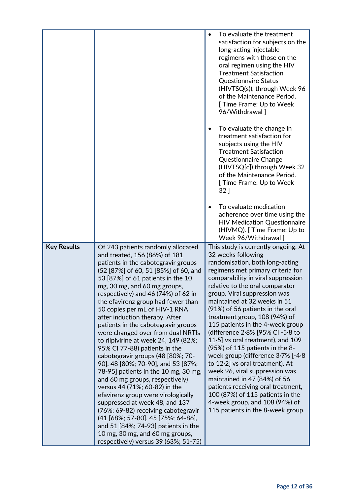|                    |                                                                                                                                                                                                                                                                                                                                                                                                                                                                                                                                                                                                                                                                                                                                                                                                                                                                                                                                                                                            | $\bullet$ | To evaluate the treatment<br>satisfaction for subjects on the<br>long-acting injectable<br>regimens with those on the<br>oral regimen using the HIV<br><b>Treatment Satisfaction</b><br><b>Questionnaire Status</b><br>(HIVTSQ(s)), through Week 96<br>of the Maintenance Period.<br>[ Time Frame: Up to Week<br>96/Withdrawal]                                                                                                                                                                                                                                                                                                                                                                                                                                                                    |
|--------------------|--------------------------------------------------------------------------------------------------------------------------------------------------------------------------------------------------------------------------------------------------------------------------------------------------------------------------------------------------------------------------------------------------------------------------------------------------------------------------------------------------------------------------------------------------------------------------------------------------------------------------------------------------------------------------------------------------------------------------------------------------------------------------------------------------------------------------------------------------------------------------------------------------------------------------------------------------------------------------------------------|-----------|----------------------------------------------------------------------------------------------------------------------------------------------------------------------------------------------------------------------------------------------------------------------------------------------------------------------------------------------------------------------------------------------------------------------------------------------------------------------------------------------------------------------------------------------------------------------------------------------------------------------------------------------------------------------------------------------------------------------------------------------------------------------------------------------------|
|                    |                                                                                                                                                                                                                                                                                                                                                                                                                                                                                                                                                                                                                                                                                                                                                                                                                                                                                                                                                                                            |           | To evaluate the change in<br>treatment satisfaction for<br>subjects using the HIV<br><b>Treatment Satisfaction</b><br><b>Questionnaire Change</b><br>(HIVTSQ[c]) through Week 32<br>of the Maintenance Period.<br>[ Time Frame: Up to Week<br>$32$ ]                                                                                                                                                                                                                                                                                                                                                                                                                                                                                                                                               |
|                    |                                                                                                                                                                                                                                                                                                                                                                                                                                                                                                                                                                                                                                                                                                                                                                                                                                                                                                                                                                                            |           | To evaluate medication<br>adherence over time using the<br><b>HIV Medication Questionnaire</b><br>(HIVMQ). [Time Frame: Up to<br>Week 96/Withdrawal]                                                                                                                                                                                                                                                                                                                                                                                                                                                                                                                                                                                                                                               |
| <b>Key Results</b> | Of 243 patients randomly allocated<br>and treated, 156 (86%) of 181<br>patients in the cabotegravir groups<br>(52 [87%] of 60, 51 [85%] of 60, and<br>53 [87%] of 61 patients in the 10<br>mg, 30 mg, and 60 mg groups,<br>respectively) and 46 (74%) of 62 in<br>the efavirenz group had fewer than<br>50 copies per mL of HIV-1 RNA<br>after induction therapy. After<br>patients in the cabotegravir groups<br>were changed over from dual NRTIs<br>to rilpivirine at week 24, 149 (82%;<br>95% Cl 77-88) patients in the<br>cabotegravir groups (48 [80%; 70-<br>90], 48 [80%; 70-90], and 53 [87%;<br>78-95] patients in the 10 mg, 30 mg,<br>and 60 mg groups, respectively)<br>versus 44 (71%; 60-82) in the<br>efavirenz group were virologically<br>suppressed at week 48, and 137<br>(76%; 69-82) receiving cabotegravir<br>(41 [68%; 57-80], 45 [75%; 64-86],<br>and 51 [84%; 74-93] patients in the<br>10 mg, 30 mg, and 60 mg groups,<br>respectively) versus 39 (63%; 51-75) |           | This study is currently ongoing. At<br>32 weeks following<br>randomisation, both long-acting<br>regimens met primary criteria for<br>comparability in viral suppression<br>relative to the oral comparator<br>group. Viral suppression was<br>maintained at 32 weeks in 51<br>(91%) of 56 patients in the oral<br>treatment group, 108 (94%) of<br>115 patients in the 4-week group<br>(difference 2.8% [95% CI -5.8 to<br>11.5] vs oral treatment), and $109$<br>$(95%)$ of 115 patients in the 8-<br>week group (difference $3.7\%$ [-4.8<br>to $12.2$ vs oral treatment). At<br>week 96, viral suppression was<br>maintained in 47 (84%) of 56<br>patients receiving oral treatment,<br>100 (87%) of 115 patients in the<br>4-week group, and 108 (94%) of<br>115 patients in the 8-week group. |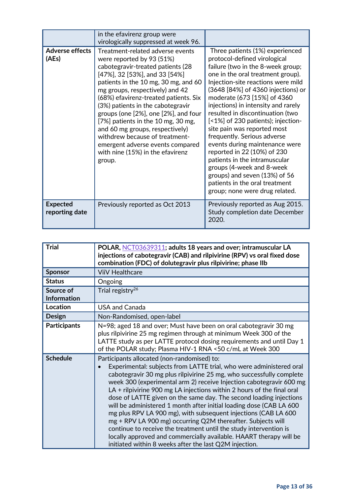|                                   | in the efavirenz group were                                                                                                                                                                                                                                                                                                                                                                                                                                                                                                           |                                                                                                                                                                                                                                                                                                                                                                                                                                                                                                                                                                                                                                                                         |
|-----------------------------------|---------------------------------------------------------------------------------------------------------------------------------------------------------------------------------------------------------------------------------------------------------------------------------------------------------------------------------------------------------------------------------------------------------------------------------------------------------------------------------------------------------------------------------------|-------------------------------------------------------------------------------------------------------------------------------------------------------------------------------------------------------------------------------------------------------------------------------------------------------------------------------------------------------------------------------------------------------------------------------------------------------------------------------------------------------------------------------------------------------------------------------------------------------------------------------------------------------------------------|
|                                   | virologically suppressed at week 96.                                                                                                                                                                                                                                                                                                                                                                                                                                                                                                  |                                                                                                                                                                                                                                                                                                                                                                                                                                                                                                                                                                                                                                                                         |
| <b>Adverse effects</b><br>(AEs)   | Treatment-related adverse events<br>were reported by 93 (51%)<br>cabotegravir-treated patients (28<br>$[47\%]$ , 32 [53%], and 33 [54%]<br>patients in the 10 mg, 30 mg, and 60<br>mg groups, respectively) and 42<br>(68%) efavirenz-treated patients. Six<br>(3%) patients in the cabotegravir<br>groups (one [2%], one [2%], and four<br>[7%] patients in the 10 mg, 30 mg,<br>and 60 mg groups, respectively)<br>withdrew because of treatment-<br>emergent adverse events compared<br>with nine (15%) in the efavirenz<br>group. | Three patients (1%) experienced<br>protocol-defined virological<br>failure (two in the 8-week group;<br>one in the oral treatment group).<br>Injection-site reactions were mild<br>(3648 [84%] of 4360 injections) or<br>moderate (673 [15%] of 4360<br>injections) in intensity and rarely<br>resulted in discontinuation (two<br>[<1%] of 230 patients); injection-<br>site pain was reported most<br>frequently. Serious adverse<br>events during maintenance were<br>reported in 22 (10%) of 230<br>patients in the intramuscular<br>groups (4-week and 8-week<br>groups) and seven (13%) of 56<br>patients in the oral treatment<br>group; none were drug related. |
| <b>Expected</b><br>reporting date | Previously reported as Oct 2013                                                                                                                                                                                                                                                                                                                                                                                                                                                                                                       | Previously reported as Aug 2015.<br><b>Study completion date December</b><br>2020.                                                                                                                                                                                                                                                                                                                                                                                                                                                                                                                                                                                      |

| <b>Trial</b>                    | POLAR, NCT03639311; adults 18 years and over; intramuscular LA<br>injections of cabotegravir (CAB) and rilpivirine (RPV) vs oral fixed dose<br>combination (FDC) of dolutegravir plus rilpivirine; phase IIb                                                                                                                                                                                                                                                                                                                                                                                                                                                                                                                                                                                                                     |
|---------------------------------|----------------------------------------------------------------------------------------------------------------------------------------------------------------------------------------------------------------------------------------------------------------------------------------------------------------------------------------------------------------------------------------------------------------------------------------------------------------------------------------------------------------------------------------------------------------------------------------------------------------------------------------------------------------------------------------------------------------------------------------------------------------------------------------------------------------------------------|
| <b>Sponsor</b>                  | <b>ViiV Healthcare</b>                                                                                                                                                                                                                                                                                                                                                                                                                                                                                                                                                                                                                                                                                                                                                                                                           |
| <b>Status</b>                   | Ongoing                                                                                                                                                                                                                                                                                                                                                                                                                                                                                                                                                                                                                                                                                                                                                                                                                          |
| Source of<br><b>Information</b> | Trial registry <sup>26</sup>                                                                                                                                                                                                                                                                                                                                                                                                                                                                                                                                                                                                                                                                                                                                                                                                     |
| Location                        | <b>USA and Canada</b>                                                                                                                                                                                                                                                                                                                                                                                                                                                                                                                                                                                                                                                                                                                                                                                                            |
| <b>Design</b>                   | Non-Randomised, open-label                                                                                                                                                                                                                                                                                                                                                                                                                                                                                                                                                                                                                                                                                                                                                                                                       |
| <b>Participants</b>             | N=98; aged 18 and over; Must have been on oral cabotegravir 30 mg<br>plus rilpivirine 25 mg regimen through at minimum Week 300 of the<br>LATTE study as per LATTE protocol dosing requirements and until Day 1<br>of the POLAR study; Plasma HIV-1 RNA <50 c/mL at Week 300                                                                                                                                                                                                                                                                                                                                                                                                                                                                                                                                                     |
| <b>Schedule</b>                 | Participants allocated (non-randomised) to:<br>Experimental: subjects from LATTE trial, who were administered oral<br>cabotegravir 30 mg plus rilpivirine 25 mg, who successfully complete<br>week 300 (experimental arm 2) receive Injection cabotegravir 600 mg<br>$LA +$ rilpivirine 900 mg LA injections within 2 hours of the final oral<br>dose of LATTE given on the same day. The second loading injections<br>will be administered 1 month after initial loading dose (CAB LA 600<br>mg plus RPV LA 900 mg), with subsequent injections (CAB LA 600<br>mg + RPV LA 900 mg) occurring Q2M thereafter. Subjects will<br>continue to receive the treatment until the study intervention is<br>locally approved and commercially available. HAART therapy will be<br>initiated within 8 weeks after the last Q2M injection. |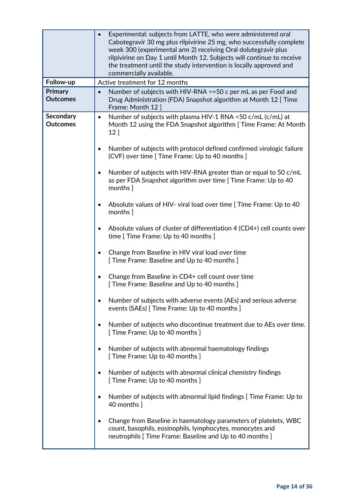|                                     | Experimental: subjects from LATTE, who were administered oral<br>Cabotegravir 30 mg plus rilpivirine 25 mg, who successfully complete<br>week 300 (experimental arm 2) receiving Oral dolutegravir plus<br>rilpivirine on Day 1 until Month 12. Subjects will continue to receive<br>the treatment until the study intervention is locally approved and<br>commercially available. |
|-------------------------------------|------------------------------------------------------------------------------------------------------------------------------------------------------------------------------------------------------------------------------------------------------------------------------------------------------------------------------------------------------------------------------------|
| Follow-up                           | Active treatment for 12 months                                                                                                                                                                                                                                                                                                                                                     |
| <b>Primary</b><br><b>Outcomes</b>   | Number of subjects with HIV-RNA >=50 c per mL as per Food and<br>Drug Administration (FDA) Snapshot algorithm at Month 12 [Time<br>Frame: Month 12                                                                                                                                                                                                                                 |
| <b>Secondary</b><br><b>Outcomes</b> | Number of subjects with plasma HIV-1 RNA <50 c/mL (c/mL) at<br>$\bullet$<br>Month 12 using the FDA Snapshot algorithm [Time Frame: At Month<br>12]                                                                                                                                                                                                                                 |
|                                     | Number of subjects with protocol defined confirmed virologic failure<br>$\bullet$<br>(CVF) over time [ Time Frame: Up to 40 months ]                                                                                                                                                                                                                                               |
|                                     | Number of subjects with HIV-RNA greater than or equal to 50 c/mL<br>$\bullet$<br>as per FDA Snapshot algorithm over time [ Time Frame: Up to 40<br>months ]                                                                                                                                                                                                                        |
|                                     | Absolute values of HIV- viral load over time [ Time Frame: Up to 40<br>$\bullet$<br>months ]                                                                                                                                                                                                                                                                                       |
|                                     | Absolute values of cluster of differentiation 4 (CD4+) cell counts over<br>time [ Time Frame: Up to 40 months ]                                                                                                                                                                                                                                                                    |
|                                     | Change from Baseline in HIV viral load over time<br>[ Time Frame: Baseline and Up to 40 months ]                                                                                                                                                                                                                                                                                   |
|                                     | Change from Baseline in CD4+ cell count over time<br>[ Time Frame: Baseline and Up to 40 months ]                                                                                                                                                                                                                                                                                  |
|                                     | Number of subjects with adverse events (AEs) and serious adverse<br>events (SAEs) [ Time Frame: Up to 40 months ]                                                                                                                                                                                                                                                                  |
|                                     | Number of subjects who discontinue treatment due to AEs over time.<br>[ Time Frame: Up to 40 months ]                                                                                                                                                                                                                                                                              |
|                                     | Number of subjects with abnormal haematology findings<br>[ Time Frame: Up to 40 months ]                                                                                                                                                                                                                                                                                           |
|                                     | Number of subjects with abnormal clinical chemistry findings<br>[ Time Frame: Up to 40 months ]                                                                                                                                                                                                                                                                                    |
|                                     | Number of subjects with abnormal lipid findings [ Time Frame: Up to<br>40 months ]                                                                                                                                                                                                                                                                                                 |
|                                     | Change from Baseline in haematology parameters of platelets, WBC<br>count, basophils, eosinophils, lymphocytes, monocytes and<br>neutrophils [ Time Frame: Baseline and Up to 40 months ]                                                                                                                                                                                          |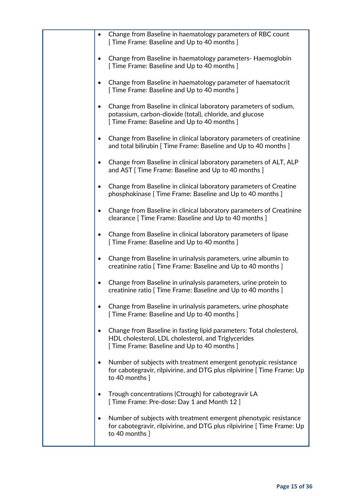| Change from Baseline in haematology parameters of RBC count<br>[ Time Frame: Baseline and Up to 40 months ]                                                                                |
|--------------------------------------------------------------------------------------------------------------------------------------------------------------------------------------------|
| Change from Baseline in haematology parameters- Haemoglobin<br>[ Time Frame: Baseline and Up to 40 months ]                                                                                |
| Change from Baseline in haematology parameter of haematocrit<br>[ Time Frame: Baseline and Up to 40 months ]                                                                               |
| Change from Baseline in clinical laboratory parameters of sodium,<br>$\bullet$<br>potassium, carbon-dioxide (total), chloride, and glucose<br>[ Time Frame: Baseline and Up to 40 months ] |
| Change from Baseline in clinical laboratory parameters of creatinine<br>and total bilirubin [ Time Frame: Baseline and Up to 40 months ]                                                   |
| Change from Baseline in clinical laboratory parameters of ALT, ALP<br>$\bullet$<br>and AST [ Time Frame: Baseline and Up to 40 months ]                                                    |
| Change from Baseline in clinical laboratory parameters of Creatine<br>phosphokinase [ Time Frame: Baseline and Up to 40 months ]                                                           |
| Change from Baseline in clinical laboratory parameters of Creatinine<br>clearance [ Time Frame: Baseline and Up to 40 months ]                                                             |
| Change from Baseline in clinical laboratory parameters of lipase<br>$\bullet$<br>[ Time Frame: Baseline and Up to 40 months ]                                                              |
| Change from Baseline in urinalysis parameters, urine albumin to<br>$\bullet$<br>creatinine ratio [ Time Frame: Baseline and Up to 40 months ]                                              |
| Change from Baseline in urinalysis parameters, urine protein to<br>creatinine ratio [ Time Frame: Baseline and Up to 40 months ]                                                           |
| Change from Baseline in urinalysis parameters, urine phosphate<br>[ Time Frame: Baseline and Up to 40 months ]                                                                             |
| Change from Baseline in fasting lipid parameters: Total cholesterol,<br>HDL cholesterol, LDL cholesterol, and Triglycerides<br>[ Time Frame: Baseline and Up to 40 months ]                |
| Number of subjects with treatment emergent genotypic resistance<br>for cabotegravir, rilpivirine, and DTG plus rilpivirine [ Time Frame: Up<br>to 40 months ]                              |
| Trough concentrations (Ctrough) for cabotegravir LA<br>[ Time Frame: Pre-dose: Day 1 and Month 12 ]                                                                                        |
| Number of subjects with treatment emergent phenotypic resistance<br>for cabotegravir, rilpivirine, and DTG plus rilpivirine [ Time Frame: Up<br>to 40 months ]                             |
|                                                                                                                                                                                            |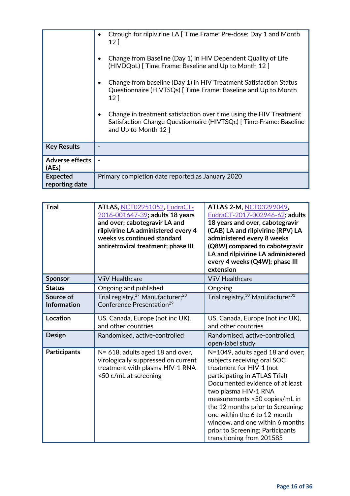|                                   | Ctrough for rilpivirine LA [ Time Frame: Pre-dose: Day 1 and Month<br>12 <sup>1</sup><br>Change from Baseline (Day 1) in HIV Dependent Quality of Life<br>(HIVDQoL) Time Frame: Baseline and Up to Month 12 ]<br>Change from baseline (Day 1) in HIV Treatment Satisfaction Status<br>Questionnaire (HIVTSQs)   Time Frame: Baseline and Up to Month<br>12 <sup>1</sup><br>Change in treatment satisfaction over time using the HIV Treatment<br>Satisfaction Change Questionnaire (HIVTSQc)   Time Frame: Baseline<br>and Up to Month 12 ] |
|-----------------------------------|---------------------------------------------------------------------------------------------------------------------------------------------------------------------------------------------------------------------------------------------------------------------------------------------------------------------------------------------------------------------------------------------------------------------------------------------------------------------------------------------------------------------------------------------|
|                                   |                                                                                                                                                                                                                                                                                                                                                                                                                                                                                                                                             |
| <b>Key Results</b>                |                                                                                                                                                                                                                                                                                                                                                                                                                                                                                                                                             |
| <b>Adverse effects</b><br>(AEs)   |                                                                                                                                                                                                                                                                                                                                                                                                                                                                                                                                             |
| <b>Expected</b><br>reporting date | Primary completion date reported as January 2020                                                                                                                                                                                                                                                                                                                                                                                                                                                                                            |

| <b>Trial</b>                    | ATLAS, NCT02951052, EudraCT-<br>2016-001647-39; adults 18 years<br>and over; cabotegravir LA and<br>rilpivirine LA administered every 4<br>weeks vs continued standard<br>antiretroviral treatment; phase III | ATLAS 2-M, NCT03299049,<br>EudraCT-2017-002946-62; adults<br>18 years and over, cabotegravir<br>(CAB) LA and rilpivirine (RPV) LA<br>administered every 8 weeks<br>(Q8W) compared to cabotegravir<br>LA and rilpivirine LA administered<br>every 4 weeks (Q4W); phase III<br>extension                                                                                                            |
|---------------------------------|---------------------------------------------------------------------------------------------------------------------------------------------------------------------------------------------------------------|---------------------------------------------------------------------------------------------------------------------------------------------------------------------------------------------------------------------------------------------------------------------------------------------------------------------------------------------------------------------------------------------------|
| <b>Sponsor</b>                  | <b>ViiV Healthcare</b>                                                                                                                                                                                        | <b>ViiV Healthcare</b>                                                                                                                                                                                                                                                                                                                                                                            |
| <b>Status</b>                   | Ongoing and published                                                                                                                                                                                         | Ongoing                                                                                                                                                                                                                                                                                                                                                                                           |
| Source of<br><b>Information</b> | Trial registry, <sup>27</sup> Manufacturer; <sup>28</sup><br>Conference Presentation <sup>29</sup>                                                                                                            | Trial registry, <sup>30</sup> Manufacturer <sup>31</sup>                                                                                                                                                                                                                                                                                                                                          |
| Location                        | US, Canada, Europe (not inc UK),<br>and other countries                                                                                                                                                       | US, Canada, Europe (not inc UK),<br>and other countries                                                                                                                                                                                                                                                                                                                                           |
| <b>Design</b>                   | Randomised, active-controlled                                                                                                                                                                                 | Randomised, active-controlled,<br>open-label study                                                                                                                                                                                                                                                                                                                                                |
| <b>Participants</b>             | N= 618, adults aged 18 and over,<br>virologically suppressed on current<br>treatment with plasma HIV-1 RNA<br><50 c/mL at screening                                                                           | N=1049, adults aged 18 and over;<br>subjects receiving oral SOC<br>treatment for HIV-1 (not<br>participating in ATLAS Trial)<br>Documented evidence of at least<br>two plasma HIV-1 RNA<br>measurements <50 copies/mL in<br>the 12 months prior to Screening:<br>one within the 6 to 12-month<br>window, and one within 6 months<br>prior to Screening; Participants<br>transitioning from 201585 |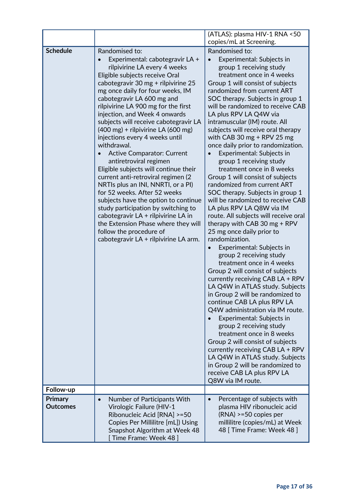|                              |                                                                                                                                                                                                                                                                                                                                                                                                                                                                                                                                                                                                                                                                                                                                                                                                                                                                                                                   | (ATLAS): plasma HIV-1 RNA <50                                                                                                                                                                                                                                                                                                                                                                                                                                                                                                                                                                                                                                                                                                                                                                                                                                                                                                                                                                                                                                                                                                                                                                                                                                                                                                                                                                                |
|------------------------------|-------------------------------------------------------------------------------------------------------------------------------------------------------------------------------------------------------------------------------------------------------------------------------------------------------------------------------------------------------------------------------------------------------------------------------------------------------------------------------------------------------------------------------------------------------------------------------------------------------------------------------------------------------------------------------------------------------------------------------------------------------------------------------------------------------------------------------------------------------------------------------------------------------------------|--------------------------------------------------------------------------------------------------------------------------------------------------------------------------------------------------------------------------------------------------------------------------------------------------------------------------------------------------------------------------------------------------------------------------------------------------------------------------------------------------------------------------------------------------------------------------------------------------------------------------------------------------------------------------------------------------------------------------------------------------------------------------------------------------------------------------------------------------------------------------------------------------------------------------------------------------------------------------------------------------------------------------------------------------------------------------------------------------------------------------------------------------------------------------------------------------------------------------------------------------------------------------------------------------------------------------------------------------------------------------------------------------------------|
|                              |                                                                                                                                                                                                                                                                                                                                                                                                                                                                                                                                                                                                                                                                                                                                                                                                                                                                                                                   | copies/mL at Screening.                                                                                                                                                                                                                                                                                                                                                                                                                                                                                                                                                                                                                                                                                                                                                                                                                                                                                                                                                                                                                                                                                                                                                                                                                                                                                                                                                                                      |
| <b>Schedule</b><br>Follow-up | Randomised to:<br>Experimental: cabotegravir LA +<br>rilpivirine LA every 4 weeks<br>Eligible subjects receive Oral<br>cabotegravir 30 mg + rilpivirine 25<br>mg once daily for four weeks, IM<br>cabotegravir LA 600 mg and<br>rilpivirine LA 900 mg for the first<br>injection, and Week 4 onwards<br>subjects will receive cabotegravir LA<br>$(400 \text{ mg})$ + rilpivirine LA $(600 \text{ mg})$<br>injections every 4 weeks until<br>withdrawal.<br><b>Active Comparator: Current</b><br>antiretroviral regimen<br>Eligible subjects will continue their<br>current anti-retroviral regimen (2<br>NRTIs plus an INI, NNRTI, or a PI)<br>for 52 weeks. After 52 weeks<br>subjects have the option to continue<br>study participation by switching to<br>cabotegravir $LA +$ rilpivirine $LA$ in<br>the Extension Phase where they will<br>follow the procedure of<br>cabotegravir LA + rilpivirine LA arm. | Randomised to:<br>Experimental: Subjects in<br>group 1 receiving study<br>treatment once in 4 weeks<br>Group 1 will consist of subjects<br>randomized from current ART<br>SOC therapy. Subjects in group 1<br>will be randomized to receive CAB<br>LA plus RPV LA Q4W via<br>intramuscular (IM) route. All<br>subjects will receive oral therapy<br>with CAB 30 mg $+$ RPV 25 mg<br>once daily prior to randomization.<br>Experimental: Subjects in<br>group 1 receiving study<br>treatment once in 8 weeks<br>Group 1 will consist of subjects<br>randomized from current ART<br>SOC therapy. Subjects in group 1<br>will be randomized to receive CAB<br>LA plus RPV LA Q8W via IM<br>route. All subjects will receive oral<br>therapy with CAB 30 mg $+$ RPV<br>25 mg once daily prior to<br>randomization.<br>Experimental: Subjects in<br>group 2 receiving study<br>treatment once in 4 weeks<br>Group 2 will consist of subjects<br>currently receiving CAB LA + RPV<br>LA Q4W in ATLAS study. Subjects<br>in Group 2 will be randomized to<br>continue CAB LA plus RPV LA<br>Q4W administration via IM route.<br>Experimental: Subjects in<br>group 2 receiving study<br>treatment once in 8 weeks<br>Group 2 will consist of subjects<br>currently receiving CAB LA + RPV<br>LA Q4W in ATLAS study. Subjects<br>in Group 2 will be randomized to<br>receive CAB LA plus RPV LA<br>Q8W via IM route. |
| <b>Primary</b>               |                                                                                                                                                                                                                                                                                                                                                                                                                                                                                                                                                                                                                                                                                                                                                                                                                                                                                                                   | Percentage of subjects with<br>$\bullet$                                                                                                                                                                                                                                                                                                                                                                                                                                                                                                                                                                                                                                                                                                                                                                                                                                                                                                                                                                                                                                                                                                                                                                                                                                                                                                                                                                     |
| <b>Outcomes</b>              | Number of Participants With<br>Virologic Failure (HIV-1<br>Ribonucleic Acid [RNA] >=50<br>Copies Per Millilitre [mL]) Using<br>Snapshot Algorithm at Week 48<br>[Time Frame: Week 48]                                                                                                                                                                                                                                                                                                                                                                                                                                                                                                                                                                                                                                                                                                                             | plasma HIV ribonucleic acid<br>$(RNA)$ >=50 copies per<br>millilitre (copies/mL) at Week<br>48 [ Time Frame: Week 48 ]                                                                                                                                                                                                                                                                                                                                                                                                                                                                                                                                                                                                                                                                                                                                                                                                                                                                                                                                                                                                                                                                                                                                                                                                                                                                                       |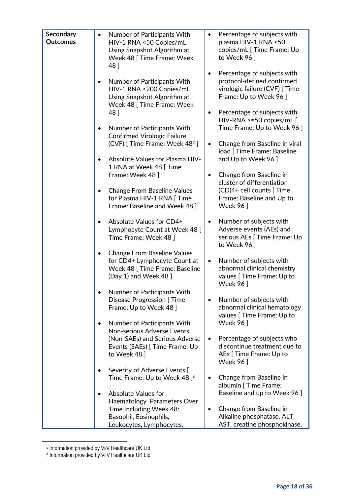| Secondary       | Number of Participants With<br>$\bullet$                                       | Percentage of subjects with                                         |
|-----------------|--------------------------------------------------------------------------------|---------------------------------------------------------------------|
| <b>Outcomes</b> | HIV-1 RNA <50 Copies/mL                                                        | plasma HIV-1 RNA <50                                                |
|                 | Using Snapshot Algorithm at                                                    | copies/mL [Time Frame: Up                                           |
|                 | Week 48 [ Time Frame: Week                                                     | to Week 96]                                                         |
|                 | 48]                                                                            |                                                                     |
|                 |                                                                                | Percentage of subjects with<br>٠                                    |
|                 | Number of Participants With<br>$\bullet$                                       | protocol-defined confirmed                                          |
|                 | HIV-1 RNA <200 Copies/mL                                                       | virologic failure (CVF) [ Time                                      |
|                 | Using Snapshot Algorithm at                                                    | Frame: Up to Week 96 ]                                              |
|                 | Week 48 [ Time Frame: Week                                                     | Percentage of subjects with                                         |
|                 | 48]                                                                            | $\bullet$<br>HIV-RNA >=50 copies/mL [                               |
|                 | Number of Participants With<br>$\bullet$                                       | Time Frame: Up to Week 96 ]                                         |
|                 | <b>Confirmed Virologic Failure</b>                                             |                                                                     |
|                 | (CVF) [Time Frame: Week 48°]                                                   | Change from Baseline in viral<br>$\bullet$                          |
|                 |                                                                                | load [ Time Frame: Baseline                                         |
|                 | Absolute Values for Plasma HIV-<br>$\bullet$                                   | and Up to Week 96 ]                                                 |
|                 | 1 RNA at Week 48 [Time                                                         |                                                                     |
|                 | Frame: Week 48 ]                                                               | Change from Baseline in<br>$\bullet$                                |
|                 |                                                                                | cluster of differentiation                                          |
|                 | <b>Change From Baseline Values</b><br>$\bullet$<br>for Plasma HIV-1 RNA   Time | (CD)4+ cell counts [Time<br>Frame: Baseline and Up to               |
|                 | Frame: Baseline and Week 48 ]                                                  | Week 96 ]                                                           |
|                 |                                                                                |                                                                     |
|                 | Absolute Values for CD4+<br>$\bullet$                                          | Number of subjects with<br>$\bullet$                                |
|                 | Lymphocyte Count at Week 48 [                                                  | Adverse events (AEs) and                                            |
|                 | Time Frame: Week 48 ]                                                          | serious AEs [ Time Frame: Up                                        |
|                 |                                                                                | to Week 96]                                                         |
|                 | <b>Change From Baseline Values</b><br>$\bullet$                                |                                                                     |
|                 | for CD4+ Lymphocyte Count at<br>Week 48 [ Time Frame: Baseline                 | Number of subjects with<br>$\bullet$<br>abnormal clinical chemistry |
|                 | (Day 1) and Week 48 ]                                                          | values [ Time Frame: Up to                                          |
|                 |                                                                                | Week 96 ]                                                           |
|                 | Number of Participants With                                                    |                                                                     |
|                 | <b>Disease Progression [Time</b>                                               | Number of subjects with<br>٠                                        |
|                 | Frame: Up to Week 48 ]                                                         | abnormal clinical hematology                                        |
|                 |                                                                                | values [ Time Frame: Up to                                          |
|                 | Number of Participants With<br>$\bullet$<br><b>Non-serious Adverse Events</b>  | Week 96 ]                                                           |
|                 | (Non-SAEs) and Serious Adverse                                                 | Percentage of subjects who<br>$\bullet$                             |
|                 | Events (SAEs) [Time Frame: Up                                                  | discontinue treatment due to                                        |
|                 | to Week 48                                                                     | AEs [ Time Frame: Up to                                             |
|                 |                                                                                | <b>Week 96</b> ]                                                    |
|                 | Severity of Adverse Events [                                                   |                                                                     |
|                 | Time Frame: Up to Week 48 $]$ <sup>d</sup>                                     | Change from Baseline in                                             |
|                 |                                                                                | albumin [ Time Frame:                                               |
|                 | <b>Absolute Values for</b><br>$\bullet$                                        | Baseline and up to Week 96 ]                                        |
|                 | Haematology Parameters Over                                                    |                                                                     |
|                 | Time Including Week 48:<br>Basophil, Eosinophils,                              | Change from Baseline in<br>$\bullet$<br>Alkaline phosphatase, ALT,  |
|                 | Leukocytes, Lymphocytes,                                                       | AST, creatine phosphokinase,                                        |
|                 |                                                                                |                                                                     |

<sup>c</sup> Information provided by ViiV Healthcare UK Ltd

<span id="page-17-1"></span><span id="page-17-0"></span> $\overline{a}$ 

<sup>d</sup> Information provided by ViiV Healthcare UK Ltd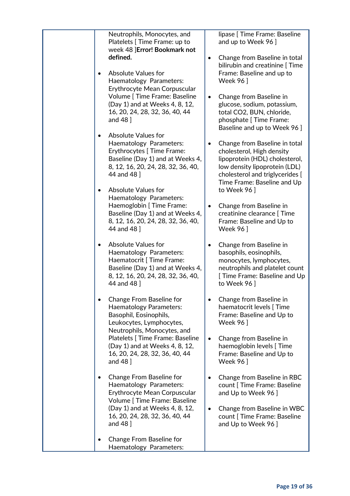| Neutrophils, Monocytes, and<br>Platelets [ Time Frame: up to<br>week 48 ]Error! Bookmark not                                                                                                                            | lipase [ Time Frame: Baseline<br>and up to Week 96 ]                                                                                                                                                                |
|-------------------------------------------------------------------------------------------------------------------------------------------------------------------------------------------------------------------------|---------------------------------------------------------------------------------------------------------------------------------------------------------------------------------------------------------------------|
| defined.                                                                                                                                                                                                                | Change from Baseline in total<br>$\bullet$<br>bilirubin and creatinine [ Time                                                                                                                                       |
| <b>Absolute Values for</b><br>$\bullet$<br>Haematology Parameters:                                                                                                                                                      | Frame: Baseline and up to<br><b>Week 96</b> ]                                                                                                                                                                       |
| Erythrocyte Mean Corpuscular<br>Volume [ Time Frame: Baseline<br>(Day 1) and at Weeks 4, 8, 12,<br>16, 20, 24, 28, 32, 36, 40, 44<br>and $48$ ]                                                                         | Change from Baseline in<br>$\bullet$<br>glucose, sodium, potassium,<br>total CO2, BUN, chloride,<br>phosphate [ Time Frame:<br>Baseline and up to Week 96 ]                                                         |
| <b>Absolute Values for</b><br>$\bullet$<br>Haematology Parameters:<br>Erythrocytes [ Time Frame:<br>Baseline (Day 1) and at Weeks 4,<br>8, 12, 16, 20, 24, 28, 32, 36, 40,<br>44 and 48 ]<br><b>Absolute Values for</b> | Change from Baseline in total<br>٠<br>cholesterol, High density<br>lipoprotein (HDL) cholesterol,<br>low density lipoprotein (LDL)<br>cholesterol and triglycerides [<br>Time Frame: Baseline and Up<br>to Week 96] |
| Haematology Parameters:<br>Haemoglobin [ Time Frame:<br>Baseline (Day 1) and at Weeks 4,<br>8, 12, 16, 20, 24, 28, 32, 36, 40,<br>44 and 48 ]                                                                           | Change from Baseline in<br>$\bullet$<br>creatinine clearance [ Time<br>Frame: Baseline and Up to<br><b>Week 96</b> ]                                                                                                |
| <b>Absolute Values for</b><br>$\bullet$<br>Haematology Parameters:<br>Haematocrit [ Time Frame:<br>Baseline (Day 1) and at Weeks 4,<br>8, 12, 16, 20, 24, 28, 32, 36, 40,<br>44 and 48 ]                                | Change from Baseline in<br>basophils, eosinophils,<br>monocytes, lymphocytes,<br>neutrophils and platelet count<br>[ Time Frame: Baseline and Up<br>to Week 96                                                      |
| <b>Change From Baseline for</b><br><b>Haematology Parameters:</b><br>Basophil, Eosinophils,<br>Leukocytes, Lymphocytes,<br>Neutrophils, Monocytes, and                                                                  | Change from Baseline in<br>$\bullet$<br>haematocrit levels [ Time<br>Frame: Baseline and Up to<br>Week 96                                                                                                           |
| Platelets [ Time Frame: Baseline<br>(Day 1) and at Weeks 4, 8, 12,<br>16, 20, 24, 28, 32, 36, 40, 44<br>and 48 ]                                                                                                        | Change from Baseline in<br>$\bullet$<br>haemoglobin levels [ Time<br>Frame: Baseline and Up to<br><b>Week 961</b>                                                                                                   |
| <b>Change From Baseline for</b><br>Haematology Parameters:<br>Erythrocyte Mean Corpuscular<br>Volume [ Time Frame: Baseline                                                                                             | Change from Baseline in RBC<br>count [ Time Frame: Baseline<br>and Up to Week 96 ]                                                                                                                                  |
| (Day 1) and at Weeks 4, 8, 12,<br>16, 20, 24, 28, 32, 36, 40, 44<br>and 48 ]                                                                                                                                            | Change from Baseline in WBC<br>$\bullet$<br>count [ Time Frame: Baseline<br>and Up to Week 96 ]                                                                                                                     |
| Change From Baseline for<br>Haematology Parameters:                                                                                                                                                                     |                                                                                                                                                                                                                     |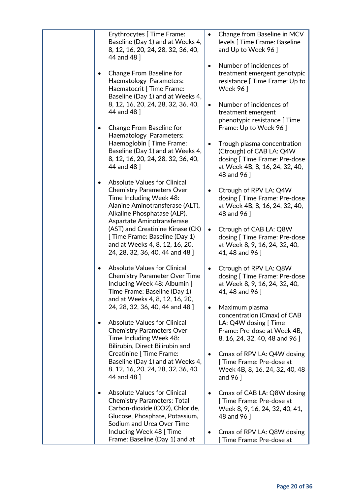| Erythrocytes [ Time Frame:<br>Baseline (Day 1) and at Weeks 4,<br>8, 12, 16, 20, 24, 28, 32, 36, 40,<br>44 and 48 ]                                                                                             | $\bullet$ | Change from Baseline in MCV<br>levels [ Time Frame: Baseline<br>and Up to Week 96 ]                                                    |
|-----------------------------------------------------------------------------------------------------------------------------------------------------------------------------------------------------------------|-----------|----------------------------------------------------------------------------------------------------------------------------------------|
| Change From Baseline for<br>Haematology Parameters:<br>Haematocrit [ Time Frame:<br>Baseline (Day 1) and at Weeks 4,                                                                                            | $\bullet$ | Number of incidences of<br>treatment emergent genotypic<br>resistance [ Time Frame: Up to<br>Week 96 ]                                 |
| 8, 12, 16, 20, 24, 28, 32, 36, 40,<br>44 and 48 ]                                                                                                                                                               | $\bullet$ | Number of incidences of<br>treatment emergent<br>phenotypic resistance [ Time                                                          |
| Change From Baseline for<br>Haematology Parameters:<br>Haemoglobin [ Time Frame:                                                                                                                                | $\bullet$ | Frame: Up to Week 96 ]<br>Trough plasma concentration                                                                                  |
| Baseline (Day 1) and at Weeks 4,<br>8, 12, 16, 20, 24, 28, 32, 36, 40,<br>44 and 48 ]                                                                                                                           |           | (Ctrough) of CAB LA: Q4W<br>dosing [ Time Frame: Pre-dose<br>at Week 4B, 8, 16, 24, 32, 40,<br>48 and 96 ]                             |
| <b>Absolute Values for Clinical</b><br>$\bullet$<br><b>Chemistry Parameters Over</b><br>Time Including Week 48:<br>Alanine Aminotransferase (ALT),<br>Alkaline Phosphatase (ALP),<br>Aspartate Aminotransferase | $\bullet$ | Ctrough of RPV LA: Q4W<br>dosing [ Time Frame: Pre-dose<br>at Week 4B, 8, 16, 24, 32, 40,<br>48 and 96 ]                               |
| (AST) and Creatinine Kinase (CK)<br>[ Time Frame: Baseline (Day 1)<br>and at Weeks 4, 8, 12, 16, 20,<br>24, 28, 32, 36, 40, 44 and 48 ]                                                                         | $\bullet$ | Ctrough of CAB LA: Q8W<br>dosing [ Time Frame: Pre-dose<br>at Week 8, 9, 16, 24, 32, 40,<br>41, 48 and 96 ]                            |
| <b>Absolute Values for Clinical</b><br><b>Chemistry Parameter Over Time</b><br>Including Week 48: Albumin [<br>Time Frame: Baseline (Day 1)<br>and at Weeks 4, 8, 12, 16, 20,                                   | $\bullet$ | Ctrough of RPV LA: Q8W<br>dosing [ Time Frame: Pre-dose<br>at Week 8, 9, 16, 24, 32, 40,<br>41, 48 and 96 ]                            |
| 24, 28, 32, 36, 40, 44 and 48 ]<br><b>Absolute Values for Clinical</b><br>$\bullet$<br><b>Chemistry Parameters Over</b><br>Time Including Week 48:                                                              | $\bullet$ | Maximum plasma<br>concentration (Cmax) of CAB<br>LA: Q4W dosing [Time<br>Frame: Pre-dose at Week 4B,<br>8, 16, 24, 32, 40, 48 and 96 ] |
| Bilirubin, Direct Bilirubin and<br><b>Creatinine [ Time Frame:</b><br>Baseline (Day 1) and at Weeks 4,<br>8, 12, 16, 20, 24, 28, 32, 36, 40,<br>44 and 48 ]                                                     | $\bullet$ | Cmax of RPV LA: Q4W dosing<br>Time Frame: Pre-dose at<br>Week 4B, 8, 16, 24, 32, 40, 48<br>and $96$ ]                                  |
| <b>Absolute Values for Clinical</b><br><b>Chemistry Parameters: Total</b><br>Carbon-dioxide (CO2), Chloride,<br>Glucose, Phosphate, Potassium,<br>Sodium and Urea Over Time                                     | $\bullet$ | Cmax of CAB LA: Q8W dosing<br>[Time Frame: Pre-dose at<br>Week 8, 9, 16, 24, 32, 40, 41,<br>48 and 96                                  |
| Including Week 48 [ Time<br>Frame: Baseline (Day 1) and at                                                                                                                                                      | $\bullet$ | Cmax of RPV LA: Q8W dosing<br>Time Frame: Pre-dose at                                                                                  |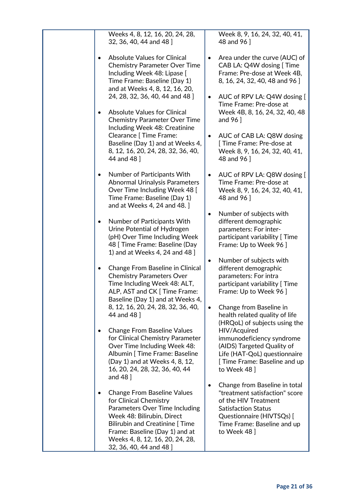| Weeks 4, 8, 12, 16, 20, 24, 28,<br>32, 36, 40, 44 and 48 ]                                                                                                                                                                                                                                                                                                                                                                                                                                                                                                                                                                                                                                                                                                                                              | Week 8, 9, 16, 24, 32, 40, 41,<br>48 and 96 ]                                                                                                                                                                                                                                                                                                                                                                                                                                                                                                                                                                                                               |
|---------------------------------------------------------------------------------------------------------------------------------------------------------------------------------------------------------------------------------------------------------------------------------------------------------------------------------------------------------------------------------------------------------------------------------------------------------------------------------------------------------------------------------------------------------------------------------------------------------------------------------------------------------------------------------------------------------------------------------------------------------------------------------------------------------|-------------------------------------------------------------------------------------------------------------------------------------------------------------------------------------------------------------------------------------------------------------------------------------------------------------------------------------------------------------------------------------------------------------------------------------------------------------------------------------------------------------------------------------------------------------------------------------------------------------------------------------------------------------|
| <b>Absolute Values for Clinical</b><br><b>Chemistry Parameter Over Time</b><br>Including Week 48: Lipase [<br>Time Frame: Baseline (Day 1)<br>and at Weeks 4, 8, 12, 16, 20,<br>24, 28, 32, 36, 40, 44 and 48 ]<br><b>Absolute Values for Clinical</b><br><b>Chemistry Parameter Over Time</b><br>Including Week 48: Creatinine<br>Clearance [ Time Frame:<br>Baseline (Day 1) and at Weeks 4,<br>8, 12, 16, 20, 24, 28, 32, 36, 40,<br>44 and 48 ]<br>Number of Participants With<br>٠<br><b>Abnormal Urinalysis Parameters</b><br>Over Time Including Week 48 [<br>Time Frame: Baseline (Day 1)<br>and at Weeks 4, 24 and 48.]<br>Number of Participants With<br>٠<br>Urine Potential of Hydrogen<br>(pH) Over Time Including Week                                                                    | Area under the curve (AUC) of<br>$\bullet$<br>CAB LA: Q4W dosing [ Time<br>Frame: Pre-dose at Week 4B,<br>8, 16, 24, 32, 40, 48 and 96 ]<br>AUC of RPV LA: Q4W dosing [<br>$\bullet$<br>Time Frame: Pre-dose at<br>Week 4B, 8, 16, 24, 32, 40, 48<br>and $96$ ]<br>AUC of CAB LA: Q8W dosing<br>$\bullet$<br>[Time Frame: Pre-dose at<br>Week 8, 9, 16, 24, 32, 40, 41,<br>48 and 96 ]<br>AUC of RPV LA: Q8W dosing [<br>$\bullet$<br>Time Frame: Pre-dose at<br>Week 8, 9, 16, 24, 32, 40, 41,<br>48 and 96 ]<br>Number of subjects with<br>$\bullet$<br>different demographic<br>parameters: For inter-<br>participant variability [ Time                 |
| 48 [ Time Frame: Baseline (Day<br>1) and at Weeks 4, 24 and 48 ]<br>Change From Baseline in Clinical<br><b>Chemistry Parameters Over</b><br>Time Including Week 48: ALT,<br>ALP, AST and CK [ Time Frame:<br>Baseline (Day 1) and at Weeks 4,<br>8, 12, 16, 20, 24, 28, 32, 36, 40,<br>44 and 48 ]<br><b>Change From Baseline Values</b><br>for Clinical Chemistry Parameter<br>Over Time Including Week 48:<br>Albumin [ Time Frame: Baseline<br>(Day 1) and at Weeks 4, 8, 12,<br>16, 20, 24, 28, 32, 36, 40, 44<br>and 48 ]<br><b>Change From Baseline Values</b><br>for Clinical Chemistry<br>Parameters Over Time Including<br>Week 48: Bilirubin, Direct<br><b>Bilirubin and Creatinine [Time</b><br>Frame: Baseline (Day 1) and at<br>Weeks 4, 8, 12, 16, 20, 24, 28,<br>32, 36, 40, 44 and 48 ] | Frame: Up to Week 96 ]<br>Number of subjects with<br>$\bullet$<br>different demographic<br>parameters: For intra<br>participant variability [ Time<br>Frame: Up to Week 96 ]<br>Change from Baseline in<br>$\bullet$<br>health related quality of life<br>(HRQoL) of subjects using the<br>HIV/Acquired<br>immunodeficiency syndrome<br>(AIDS) Targeted Quality of<br>Life (HAT-QoL) questionnaire<br>[ Time Frame: Baseline and up<br>to Week 48 ]<br>Change from Baseline in total<br>٠<br>"treatment satisfaction" score<br>of the HIV Treatment<br><b>Satisfaction Status</b><br>Questionnaire (HIVTSQs) [<br>Time Frame: Baseline and up<br>to Week 48 |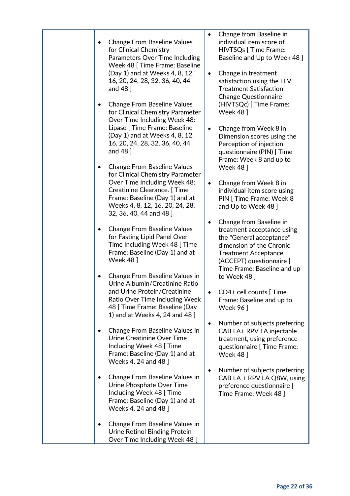| <b>Change From Baseline Values</b><br>$\bullet$<br>for Clinical Chemistry<br>Parameters Over Time Including<br>Week 48 [ Time Frame: Baseline<br>(Day 1) and at Weeks 4, 8, 12,<br>16, 20, 24, 28, 32, 36, 40, 44<br>and 48 ]<br><b>Change From Baseline Values</b><br>$\bullet$<br>for Clinical Chemistry Parameter<br>Over Time Including Week 48:<br>Lipase [ Time Frame: Baseline<br>(Day 1) and at Weeks 4, 8, 12,<br>16, 20, 24, 28, 32, 36, 40, 44<br>and 48 ]                                                                                                                                                                                                                                                                                                                                                                                                                                                                                                                                                                                                         | Change from Baseline in<br>$\bullet$<br>individual item score of<br>HIVTSQs [ Time Frame:<br>Baseline and Up to Week 48 ]<br>Change in treatment<br>$\bullet$<br>satisfaction using the HIV<br><b>Treatment Satisfaction</b><br><b>Change Questionnaire</b><br>(HIVTSQc) [ Time Frame:<br><b>Week 48</b><br>Change from Week 8 in<br>$\bullet$<br>Dimension scores using the<br>Perception of injection<br>questionnaire (PIN) [ Time                                                                                                                                                                                                                                                                                                                                                  |
|-------------------------------------------------------------------------------------------------------------------------------------------------------------------------------------------------------------------------------------------------------------------------------------------------------------------------------------------------------------------------------------------------------------------------------------------------------------------------------------------------------------------------------------------------------------------------------------------------------------------------------------------------------------------------------------------------------------------------------------------------------------------------------------------------------------------------------------------------------------------------------------------------------------------------------------------------------------------------------------------------------------------------------------------------------------------------------|----------------------------------------------------------------------------------------------------------------------------------------------------------------------------------------------------------------------------------------------------------------------------------------------------------------------------------------------------------------------------------------------------------------------------------------------------------------------------------------------------------------------------------------------------------------------------------------------------------------------------------------------------------------------------------------------------------------------------------------------------------------------------------------|
| <b>Change From Baseline Values</b><br>for Clinical Chemistry Parameter<br>Over Time Including Week 48:<br>Creatinine Clearance. [Time<br>Frame: Baseline (Day 1) and at<br>Weeks 4, 8, 12, 16, 20, 24, 28,<br>32, 36, 40, 44 and 48 ]<br><b>Change From Baseline Values</b><br>$\bullet$<br>for Fasting Lipid Panel Over<br>Time Including Week 48 [Time<br>Frame: Baseline (Day 1) and at<br><b>Week 48</b> ]<br>Change From Baseline Values in<br>$\bullet$<br>Urine Albumin/Creatinine Ratio<br>and Urine Protein/Creatinine<br>Ratio Over Time Including Week<br>48 [ Time Frame: Baseline (Day<br>1) and at Weeks 4, 24 and 48 ]<br>Change From Baseline Values in<br>$\bullet$<br>Urine Creatinine Over Time<br>Including Week 48 [Time<br>Frame: Baseline (Day 1) and at<br>Weeks 4, 24 and 48 ]<br>Change From Baseline Values in<br>$\bullet$<br>Urine Phosphate Over Time<br>Including Week 48 [ Time<br>Frame: Baseline (Day 1) and at<br>Weeks 4, 24 and 48 ]<br>Change From Baseline Values in<br>Urine Retinol Binding Protein<br>Over Time Including Week 48 [ | Frame: Week 8 and up to<br><b>Week 48</b> 1<br>Change from Week 8 in<br>$\bullet$<br>individual item score using<br>PIN [ Time Frame: Week 8<br>and Up to Week 48 ]<br>Change from Baseline in<br>$\bullet$<br>treatment acceptance using<br>the "General acceptance"<br>dimension of the Chronic<br><b>Treatment Acceptance</b><br>(ACCEPT) questionnaire [<br>Time Frame: Baseline and up<br>to Week 48 ]<br>CD4+ cell counts [Time<br>Frame: Baseline and up to<br><b>Week 96</b> 1<br>Number of subjects preferring<br>$\bullet$<br>CAB LA+ RPV LA injectable<br>treatment, using preference<br>questionnaire [ Time Frame:<br><b>Week 48</b> 1<br>Number of subjects preferring<br>$\bullet$<br>CAB LA + RPV LA Q8W, using<br>preference questionnaire [<br>Time Frame: Week 48 ] |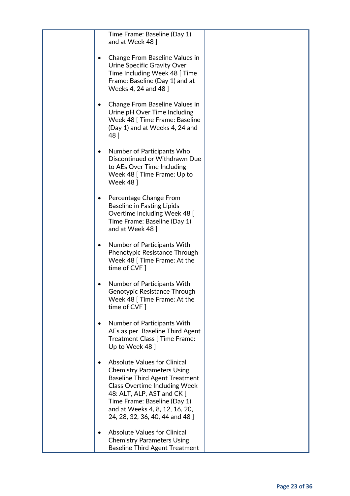| Time Frame: Baseline (Day 1)<br>and at Week 48 ]                                                                                                                                                                                                                                             |  |
|----------------------------------------------------------------------------------------------------------------------------------------------------------------------------------------------------------------------------------------------------------------------------------------------|--|
| Change From Baseline Values in<br>Urine Specific Gravity Over<br>Time Including Week 48 [Time<br>Frame: Baseline (Day 1) and at<br>Weeks 4, 24 and 48 ]                                                                                                                                      |  |
| Change From Baseline Values in<br>Urine pH Over Time Including<br>Week 48 [ Time Frame: Baseline<br>(Day 1) and at Weeks 4, 24 and<br>48 ]                                                                                                                                                   |  |
| Number of Participants Who<br>Discontinued or Withdrawn Due<br>to AEs Over Time Including<br>Week 48 [Time Frame: Up to<br><b>Week 48</b> ]                                                                                                                                                  |  |
| Percentage Change From<br><b>Baseline in Fasting Lipids</b><br>Overtime Including Week 48 [<br>Time Frame: Baseline (Day 1)<br>and at Week 48 ]                                                                                                                                              |  |
| Number of Participants With<br>Phenotypic Resistance Through<br>Week 48 [ Time Frame: At the<br>time of CVF ]                                                                                                                                                                                |  |
| Number of Participants With<br>Genotypic Resistance Through<br>Week 48 [ Time Frame: At the<br>time of CVF ]                                                                                                                                                                                 |  |
| Number of Participants With<br>AEs as per Baseline Third Agent<br>Treatment Class [ Time Frame:<br>Up to Week 48 ]                                                                                                                                                                           |  |
| <b>Absolute Values for Clinical</b><br><b>Chemistry Parameters Using</b><br><b>Baseline Third Agent Treatment</b><br><b>Class Overtime Including Week</b><br>48: ALT, ALP, AST and CK [<br>Time Frame: Baseline (Day 1)<br>and at Weeks 4, 8, 12, 16, 20,<br>24, 28, 32, 36, 40, 44 and 48 ] |  |
| <b>Absolute Values for Clinical</b><br><b>Chemistry Parameters Using</b><br><b>Baseline Third Agent Treatment</b>                                                                                                                                                                            |  |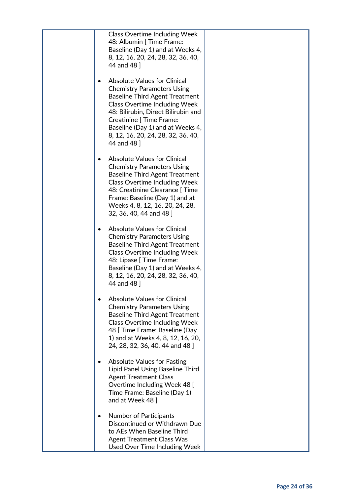| <b>Class Overtime Including Week</b><br>48: Albumin   Time Frame:<br>Baseline (Day 1) and at Weeks 4,<br>8, 12, 16, 20, 24, 28, 32, 36, 40,<br>44 and 48 ]                                                                                                                                                                   |  |
|------------------------------------------------------------------------------------------------------------------------------------------------------------------------------------------------------------------------------------------------------------------------------------------------------------------------------|--|
| <b>Absolute Values for Clinical</b><br><b>Chemistry Parameters Using</b><br><b>Baseline Third Agent Treatment</b><br><b>Class Overtime Including Week</b><br>48: Bilirubin, Direct Bilirubin and<br><b>Creatinine [ Time Frame:</b><br>Baseline (Day 1) and at Weeks 4,<br>8, 12, 16, 20, 24, 28, 32, 36, 40,<br>44 and 48 ] |  |
| <b>Absolute Values for Clinical</b><br><b>Chemistry Parameters Using</b><br><b>Baseline Third Agent Treatment</b><br><b>Class Overtime Including Week</b><br>48: Creatinine Clearance [ Time<br>Frame: Baseline (Day 1) and at<br>Weeks 4, 8, 12, 16, 20, 24, 28,<br>32, 36, 40, 44 and 48 ]                                 |  |
| <b>Absolute Values for Clinical</b><br><b>Chemistry Parameters Using</b><br><b>Baseline Third Agent Treatment</b><br><b>Class Overtime Including Week</b><br>48: Lipase [ Time Frame:<br>Baseline (Day 1) and at Weeks 4,<br>8, 12, 16, 20, 24, 28, 32, 36, 40,<br>44 and 48 ]                                               |  |
| <b>Absolute Values for Clinical</b><br><b>Chemistry Parameters Using</b><br><b>Baseline Third Agent Treatment</b><br><b>Class Overtime Including Week</b><br>48 [ Time Frame: Baseline (Day<br>1) and at Weeks 4, 8, 12, 16, 20,<br>24, 28, 32, 36, 40, 44 and 48 ]                                                          |  |
| <b>Absolute Values for Fasting</b><br>Lipid Panel Using Baseline Third<br><b>Agent Treatment Class</b><br>Overtime Including Week 48 [<br>Time Frame: Baseline (Day 1)<br>and at Week 48 ]                                                                                                                                   |  |
| <b>Number of Participants</b><br>Discontinued or Withdrawn Due<br>to AEs When Baseline Third<br><b>Agent Treatment Class Was</b><br>Used Over Time Including Week                                                                                                                                                            |  |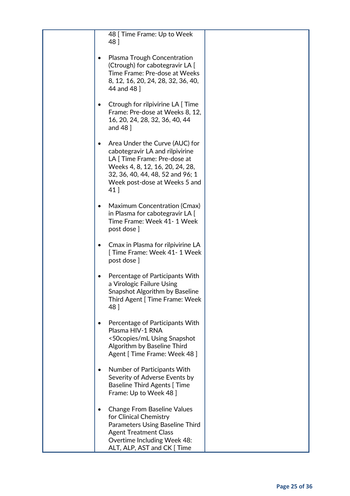| 48 [ Time Frame: Up to Week<br>48 ]<br>Plasma Trough Concentration<br>$\bullet$<br>(Ctrough) for cabotegravir LA [<br>Time Frame: Pre-dose at Weeks<br>8, 12, 16, 20, 24, 28, 32, 36, 40,<br>44 and 48 ]<br>Ctrough for rilpivirine LA [Time |  |
|----------------------------------------------------------------------------------------------------------------------------------------------------------------------------------------------------------------------------------------------|--|
|                                                                                                                                                                                                                                              |  |
|                                                                                                                                                                                                                                              |  |
| Frame: Pre-dose at Weeks 8, 12,<br>16, 20, 24, 28, 32, 36, 40, 44<br>and 48 ]                                                                                                                                                                |  |
| Area Under the Curve (AUC) for<br>$\bullet$<br>cabotegravir LA and rilpivirine<br>LA [ Time Frame: Pre-dose at<br>Weeks 4, 8, 12, 16, 20, 24, 28,<br>32, 36, 40, 44, 48, 52 and 96; 1<br>Week post-dose at Weeks 5 and<br>41 ]               |  |
| Maximum Concentration (Cmax)<br>$\bullet$<br>in Plasma for cabotegravir LA [<br>Time Frame: Week 41- 1 Week<br>post dose ]                                                                                                                   |  |
| Cmax in Plasma for rilpivirine LA<br>[Time Frame: Week 41- 1 Week<br>post dose ]                                                                                                                                                             |  |
| Percentage of Participants With<br>a Virologic Failure Using<br>Snapshot Algorithm by Baseline<br>Third Agent [ Time Frame: Week<br>48 ]                                                                                                     |  |
| Percentage of Participants With<br>Plasma HIV-1 RNA<br><50copies/mL Using Snapshot<br>Algorithm by Baseline Third<br>Agent [ Time Frame: Week 48 ]                                                                                           |  |
| Number of Participants With<br>Severity of Adverse Events by<br><b>Baseline Third Agents [Time</b><br>Frame: Up to Week 48 ]                                                                                                                 |  |
| <b>Change From Baseline Values</b><br>for Clinical Chemistry<br>Parameters Using Baseline Third<br><b>Agent Treatment Class</b><br>Overtime Including Week 48:<br>ALT, ALP, AST and CK [ Time                                                |  |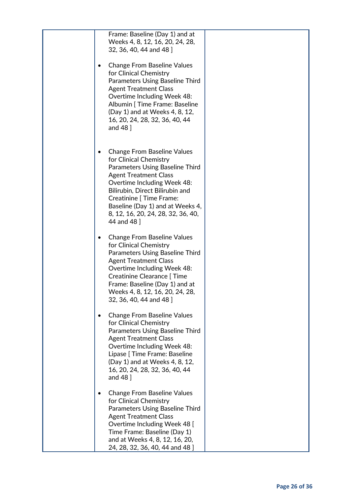| Frame: Baseline (Day 1) and at<br>Weeks 4, 8, 12, 16, 20, 24, 28,<br>32, 36, 40, 44 and 48 ]                                                                                                                                                                                                                                  |  |
|-------------------------------------------------------------------------------------------------------------------------------------------------------------------------------------------------------------------------------------------------------------------------------------------------------------------------------|--|
| <b>Change From Baseline Values</b><br>for Clinical Chemistry<br>Parameters Using Baseline Third<br><b>Agent Treatment Class</b><br>Overtime Including Week 48:<br>Albumin [ Time Frame: Baseline<br>(Day 1) and at Weeks 4, 8, 12,<br>16, 20, 24, 28, 32, 36, 40, 44<br>and $48$ ]                                            |  |
| <b>Change From Baseline Values</b><br>for Clinical Chemistry<br>Parameters Using Baseline Third<br><b>Agent Treatment Class</b><br>Overtime Including Week 48:<br>Bilirubin, Direct Bilirubin and<br><b>Creatinine [ Time Frame:</b><br>Baseline (Day 1) and at Weeks 4,<br>8, 12, 16, 20, 24, 28, 32, 36, 40,<br>44 and 48 ] |  |
| <b>Change From Baseline Values</b><br>for Clinical Chemistry<br>Parameters Using Baseline Third<br><b>Agent Treatment Class</b><br>Overtime Including Week 48:<br>Creatinine Clearance [ Time<br>Frame: Baseline (Day 1) and at<br>Weeks 4, 8, 12, 16, 20, 24, 28,<br>32, 36, 40, 44 and 48 ]                                 |  |
| <b>Change From Baseline Values</b><br>for Clinical Chemistry<br>Parameters Using Baseline Third<br><b>Agent Treatment Class</b><br>Overtime Including Week 48:<br>Lipase [ Time Frame: Baseline<br>(Day 1) and at Weeks 4, 8, 12,<br>16, 20, 24, 28, 32, 36, 40, 44<br>and $48$ $\overline{\phantom{1}}$                      |  |
| <b>Change From Baseline Values</b><br>for Clinical Chemistry<br>Parameters Using Baseline Third<br><b>Agent Treatment Class</b><br>Overtime Including Week 48 [<br>Time Frame: Baseline (Day 1)<br>and at Weeks 4, 8, 12, 16, 20,<br>24, 28, 32, 36, 40, 44 and 48 ]                                                          |  |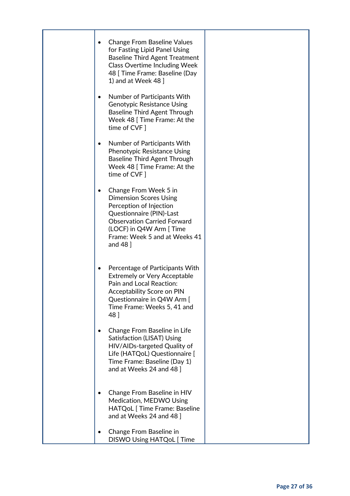| <b>Change From Baseline Values</b><br>$\bullet$<br>for Fasting Lipid Panel Using<br><b>Baseline Third Agent Treatment</b><br><b>Class Overtime Including Week</b><br>48 [ Time Frame: Baseline (Day<br>1) and at Week 48 ]                |  |
|-------------------------------------------------------------------------------------------------------------------------------------------------------------------------------------------------------------------------------------------|--|
| Number of Participants With<br>$\bullet$<br><b>Genotypic Resistance Using</b><br><b>Baseline Third Agent Through</b><br>Week 48 [ Time Frame: At the<br>time of CVF ]                                                                     |  |
| Number of Participants With<br>$\bullet$<br><b>Phenotypic Resistance Using</b><br><b>Baseline Third Agent Through</b><br>Week 48 [Time Frame: At the<br>time of CVF ]                                                                     |  |
| Change From Week 5 in<br>$\bullet$<br><b>Dimension Scores Using</b><br>Perception of Injection<br>Questionnaire (PIN)-Last<br><b>Observation Carried Forward</b><br>(LOCF) in Q4W Arm [ Time<br>Frame: Week 5 and at Weeks 41<br>and 48 ] |  |
| Percentage of Participants With<br>٠<br><b>Extremely or Very Acceptable</b><br>Pain and Local Reaction:<br>Acceptability Score on PIN<br>Questionnaire in Q4W Arm [<br>Time Frame: Weeks 5, 41 and<br>48 ]                                |  |
| Change From Baseline in Life<br><b>Satisfaction (LISAT) Using</b><br>HIV/AIDs-targeted Quality of<br>Life (HATQoL) Questionnaire [<br>Time Frame: Baseline (Day 1)<br>and at Weeks 24 and 48 ]                                            |  |
| Change From Baseline in HIV<br>Medication, MEDWO Using<br>HATQoL [ Time Frame: Baseline<br>and at Weeks 24 and 48 ]                                                                                                                       |  |
| Change From Baseline in<br><b>DISWO Using HATQoL [Time</b>                                                                                                                                                                                |  |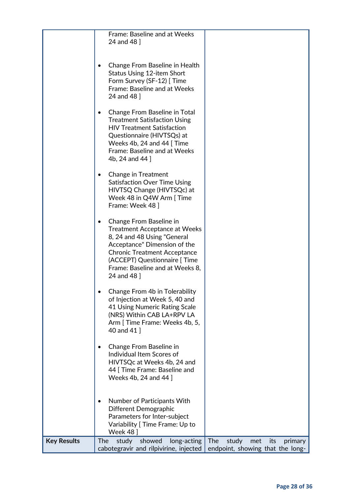|                    | Frame: Baseline and at Weeks<br>24 and 48 ]                                                                                                                                                                                                             |                                                                           |
|--------------------|---------------------------------------------------------------------------------------------------------------------------------------------------------------------------------------------------------------------------------------------------------|---------------------------------------------------------------------------|
|                    | Change From Baseline in Health<br>Status Using 12-item Short<br>Form Survey (SF-12) [ Time<br>Frame: Baseline and at Weeks<br>24 and 48 ]                                                                                                               |                                                                           |
|                    | Change From Baseline in Total<br>$\bullet$<br><b>Treatment Satisfaction Using</b><br><b>HIV Treatment Satisfaction</b><br>Questionnaire (HIVTSQs) at<br>Weeks 4b, 24 and 44 [Time<br>Frame: Baseline and at Weeks<br>4b, 24 and 44 ]                    |                                                                           |
|                    | Change in Treatment<br><b>Satisfaction Over Time Using</b><br>HIVTSQ Change (HIVTSQc) at<br>Week 48 in Q4W Arm [Time<br>Frame: Week 48 ]                                                                                                                |                                                                           |
|                    | Change From Baseline in<br><b>Treatment Acceptance at Weeks</b><br>8, 24 and 48 Using "General<br>Acceptance" Dimension of the<br><b>Chronic Treatment Acceptance</b><br>(ACCEPT) Questionnaire [Time<br>Frame: Baseline and at Weeks 8,<br>24 and 48 ] |                                                                           |
|                    | Change From 4b in Tolerability<br>of Injection at Week 5, 40 and<br>41 Using Numeric Rating Scale<br>(NRS) Within CAB LA+RPV LA<br>Arm [ Time Frame: Weeks 4b, 5,<br>40 and 41 ]                                                                        |                                                                           |
|                    | Change From Baseline in<br>Individual Item Scores of<br>HIVTSQc at Weeks 4b, 24 and<br>44 [ Time Frame: Baseline and<br>Weeks 4b, 24 and 44 ]                                                                                                           |                                                                           |
|                    | Number of Participants With<br>Different Demographic<br>Parameters for Inter-subject<br>Variability [ Time Frame: Up to<br>Week 48                                                                                                                      |                                                                           |
| <b>Key Results</b> | study<br>showed<br><b>The</b><br>long-acting<br>cabotegravir and rilpivirine, injected                                                                                                                                                                  | The<br>study<br>met<br>its<br>primary<br>endpoint, showing that the long- |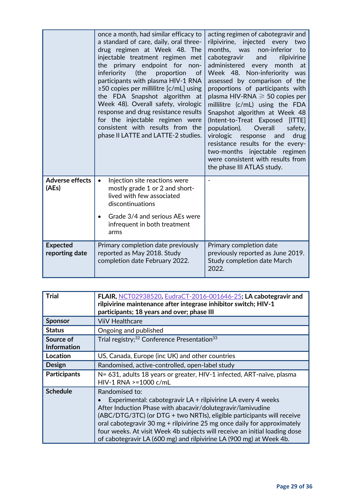|                                   | once a month, had similar efficacy to<br>a standard of care, daily, oral three-<br>drug regimen at Week 48. The<br>injectable treatment regimen met<br>the primary endpoint for non-<br>inferiority<br>(the<br>proportion<br>of<br>participants with plasma HIV-1 RNA<br>≥50 copies per millilitre $[c/mL]$ using<br>the FDA Snapshot algorithm at<br>Week 48). Overall safety, virologic<br>response and drug resistance results<br>for the injectable regimen were<br>consistent with results from the<br>phase II LATTE and LATTE-2 studies. | acting regimen of cabotegravir and<br>rilpivirine,<br>injected every<br>two<br>months, was<br>non-inferior<br>to<br>cabotegravir<br>and<br>rilpivirine<br>administered<br>month<br>every<br>at<br>Week 48. Non-inferiority was<br>assessed by comparison of the<br>proportions of participants with<br>plasma HIV-RNA $\geqslant$ 50 copies per<br>millilitre (c/mL) using the FDA<br>Snapshot algorithm at Week 48<br>(Intent-to-Treat Exposed [ITTE]<br>population).<br>Overall<br>safety,<br>virologic<br>drug<br>response<br>and<br>resistance results for the every-<br>two-months injectable regimen<br>were consistent with results from<br>the phase III ATLAS study. |
|-----------------------------------|-------------------------------------------------------------------------------------------------------------------------------------------------------------------------------------------------------------------------------------------------------------------------------------------------------------------------------------------------------------------------------------------------------------------------------------------------------------------------------------------------------------------------------------------------|-------------------------------------------------------------------------------------------------------------------------------------------------------------------------------------------------------------------------------------------------------------------------------------------------------------------------------------------------------------------------------------------------------------------------------------------------------------------------------------------------------------------------------------------------------------------------------------------------------------------------------------------------------------------------------|
| <b>Adverse effects</b><br>(AEs)   | Injection site reactions were<br>$\bullet$<br>mostly grade 1 or 2 and short-<br>lived with few associated<br>discontinuations<br>Grade 3/4 and serious AEs were<br>infrequent in both treatment<br>arms                                                                                                                                                                                                                                                                                                                                         |                                                                                                                                                                                                                                                                                                                                                                                                                                                                                                                                                                                                                                                                               |
| <b>Expected</b><br>reporting date | Primary completion date previously<br>reported as May 2018. Study<br>completion date February 2022.                                                                                                                                                                                                                                                                                                                                                                                                                                             | Primary completion date<br>previously reported as June 2019.<br>Study completion date March<br>2022.                                                                                                                                                                                                                                                                                                                                                                                                                                                                                                                                                                          |

| <b>Trial</b>                    | FLAIR, NCT02938520, EudraCT-2016-001646-25; LA cabotegravir and<br>rilpivirine maintenance after integrase inhibitor switch; HIV-1<br>participants; 18 years and over; phase III                                                                                                                                                                                                                                                                         |
|---------------------------------|----------------------------------------------------------------------------------------------------------------------------------------------------------------------------------------------------------------------------------------------------------------------------------------------------------------------------------------------------------------------------------------------------------------------------------------------------------|
| <b>Sponsor</b>                  | <b>ViiV Healthcare</b>                                                                                                                                                                                                                                                                                                                                                                                                                                   |
| <b>Status</b>                   | Ongoing and published                                                                                                                                                                                                                                                                                                                                                                                                                                    |
| Source of<br><b>Information</b> | Trial registry; <sup>32</sup> Conference Presentation <sup>33</sup>                                                                                                                                                                                                                                                                                                                                                                                      |
| <b>Location</b>                 | US, Canada, Europe (inc UK) and other countries                                                                                                                                                                                                                                                                                                                                                                                                          |
| <b>Design</b>                   | Randomised, active-controlled, open-label study                                                                                                                                                                                                                                                                                                                                                                                                          |
| <b>Participants</b>             | N= 631, adults 18 years or greater, HIV-1 infected, ART-naïve, plasma<br>HIV-1 RNA >=1000 c/mL                                                                                                                                                                                                                                                                                                                                                           |
| <b>Schedule</b>                 | Randomised to:<br>Experimental: cabotegravir LA + rilpivirine LA every 4 weeks<br>After Induction Phase with abacavir/dolutegravir/lamivudine<br>(ABC/DTG/3TC) (or DTG + two NRTIs), eligible participants will receive<br>oral cabotegravir 30 mg + rilpivirine 25 mg once daily for approximately<br>four weeks. At visit Week 4b subjects will receive an initial loading dose<br>of cabotegravir LA (600 mg) and rilpivirine LA (900 mg) at Week 4b. |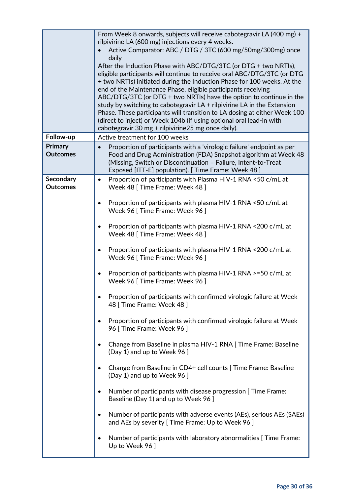|                                     | From Week 8 onwards, subjects will receive cabotegravir LA (400 mg) +<br>rilpivirine LA (600 mg) injections every 4 weeks.<br>Active Comparator: ABC / DTG / 3TC (600 mg/50mg/300mg) once<br>daily<br>After the Induction Phase with ABC/DTG/3TC (or DTG + two NRTIs),<br>eligible participants will continue to receive oral ABC/DTG/3TC (or DTG<br>+ two NRTIs) initiated during the Induction Phase for 100 weeks. At the<br>end of the Maintenance Phase, eligible participants receiving<br>ABC/DTG/3TC (or DTG + two NRTIs) have the option to continue in the<br>study by switching to cabotegravir $LA + r$ ilpivirine LA in the Extension<br>Phase. These participants will transition to LA dosing at either Week 100<br>(direct to inject) or Week 104b (if using optional oral lead-in with<br>cabotegravir 30 mg + rilpivirine 25 mg once daily). |
|-------------------------------------|----------------------------------------------------------------------------------------------------------------------------------------------------------------------------------------------------------------------------------------------------------------------------------------------------------------------------------------------------------------------------------------------------------------------------------------------------------------------------------------------------------------------------------------------------------------------------------------------------------------------------------------------------------------------------------------------------------------------------------------------------------------------------------------------------------------------------------------------------------------|
| Follow-up                           | Active treatment for 100 weeks                                                                                                                                                                                                                                                                                                                                                                                                                                                                                                                                                                                                                                                                                                                                                                                                                                 |
| <b>Primary</b><br><b>Outcomes</b>   | Proportion of participants with a 'virologic failure' endpoint as per<br>Food and Drug Administration (FDA) Snapshot algorithm at Week 48<br>(Missing, Switch or Discontinuation = Failure, Intent-to-Treat<br>Exposed [ITT-E] population). [Time Frame: Week 48]                                                                                                                                                                                                                                                                                                                                                                                                                                                                                                                                                                                              |
| <b>Secondary</b><br><b>Outcomes</b> | Proportion of participants with Plasma HIV-1 RNA <50 c/mL at<br>$\bullet$<br>Week 48 [Time Frame: Week 48]                                                                                                                                                                                                                                                                                                                                                                                                                                                                                                                                                                                                                                                                                                                                                     |
|                                     | Proportion of participants with plasma HIV-1 RNA <50 c/mL at<br>Week 96 [ Time Frame: Week 96 ]                                                                                                                                                                                                                                                                                                                                                                                                                                                                                                                                                                                                                                                                                                                                                                |
|                                     | Proportion of participants with plasma HIV-1 RNA <200 c/mL at<br>Week 48 [ Time Frame: Week 48 ]                                                                                                                                                                                                                                                                                                                                                                                                                                                                                                                                                                                                                                                                                                                                                               |
|                                     | Proportion of participants with plasma HIV-1 RNA <200 c/mL at<br>$\bullet$<br>Week 96 [ Time Frame: Week 96 ]                                                                                                                                                                                                                                                                                                                                                                                                                                                                                                                                                                                                                                                                                                                                                  |
|                                     | Proportion of participants with plasma HIV-1 RNA >=50 c/mL at<br>Week 96 [ Time Frame: Week 96 ]                                                                                                                                                                                                                                                                                                                                                                                                                                                                                                                                                                                                                                                                                                                                                               |
|                                     | Proportion of participants with confirmed virologic failure at Week<br>48 [ Time Frame: Week 48 ]                                                                                                                                                                                                                                                                                                                                                                                                                                                                                                                                                                                                                                                                                                                                                              |
|                                     | Proportion of participants with confirmed virologic failure at Week<br>96 [ Time Frame: Week 96 ]                                                                                                                                                                                                                                                                                                                                                                                                                                                                                                                                                                                                                                                                                                                                                              |
|                                     | Change from Baseline in plasma HIV-1 RNA [ Time Frame: Baseline<br>(Day 1) and up to Week 96 ]                                                                                                                                                                                                                                                                                                                                                                                                                                                                                                                                                                                                                                                                                                                                                                 |
|                                     | Change from Baseline in CD4+ cell counts [ Time Frame: Baseline<br>(Day 1) and up to Week 96 ]                                                                                                                                                                                                                                                                                                                                                                                                                                                                                                                                                                                                                                                                                                                                                                 |
|                                     | Number of participants with disease progression [ Time Frame:<br>Baseline (Day 1) and up to Week 96 ]                                                                                                                                                                                                                                                                                                                                                                                                                                                                                                                                                                                                                                                                                                                                                          |
|                                     | Number of participants with adverse events (AEs), serious AEs (SAEs)<br>and AEs by severity [ Time Frame: Up to Week 96 ]                                                                                                                                                                                                                                                                                                                                                                                                                                                                                                                                                                                                                                                                                                                                      |
|                                     | Number of participants with laboratory abnormalities [ Time Frame:<br>Up to Week 96 ]                                                                                                                                                                                                                                                                                                                                                                                                                                                                                                                                                                                                                                                                                                                                                                          |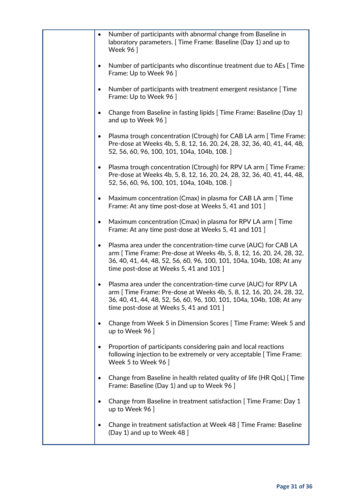| Number of participants with abnormal change from Baseline in<br>$\bullet$<br>laboratory parameters. [Time Frame: Baseline (Day 1) and up to<br><b>Week 96</b> ]                                                                                                           |
|---------------------------------------------------------------------------------------------------------------------------------------------------------------------------------------------------------------------------------------------------------------------------|
| Number of participants who discontinue treatment due to AEs [Time]<br>$\bullet$<br>Frame: Up to Week 96 ]                                                                                                                                                                 |
| Number of participants with treatment emergent resistance [Time]<br>$\bullet$<br>Frame: Up to Week 96 ]                                                                                                                                                                   |
| Change from Baseline in fasting lipids [ Time Frame: Baseline (Day 1)<br>and up to Week 96 ]                                                                                                                                                                              |
| Plasma trough concentration (Ctrough) for CAB LA arm [ Time Frame:<br>$\bullet$<br>Pre-dose at Weeks 4b, 5, 8, 12, 16, 20, 24, 28, 32, 36, 40, 41, 44, 48,<br>52, 56, 60, 96, 100, 101, 104a, 104b, 108.]                                                                 |
| Plasma trough concentration (Ctrough) for RPV LA arm [ Time Frame:<br>$\bullet$<br>Pre-dose at Weeks 4b, 5, 8, 12, 16, 20, 24, 28, 32, 36, 40, 41, 44, 48,<br>52, 56, 60, 96, 100, 101, 104a, 104b, 108.]                                                                 |
| Maximum concentration (Cmax) in plasma for CAB LA arm [Time<br>$\bullet$<br>Frame: At any time post-dose at Weeks 5, 41 and 101 ]                                                                                                                                         |
| Maximum concentration (Cmax) in plasma for RPV LA arm [Time<br>$\bullet$<br>Frame: At any time post-dose at Weeks 5, 41 and 101 ]                                                                                                                                         |
| Plasma area under the concentration-time curve (AUC) for CAB LA<br>$\bullet$<br>arm [ Time Frame: Pre-dose at Weeks 4b, 5, 8, 12, 16, 20, 24, 28, 32,<br>36, 40, 41, 44, 48, 52, 56, 60, 96, 100, 101, 104a, 104b, 108; At any<br>time post-dose at Weeks 5, 41 and 101 ] |
| Plasma area under the concentration-time curve (AUC) for RPV LA<br>٠<br>arm [ Time Frame: Pre-dose at Weeks 4b, 5, 8, 12, 16, 20, 24, 28, 32,<br>36, 40, 41, 44, 48, 52, 56, 60, 96, 100, 101, 104a, 104b, 108; At any<br>time post-dose at Weeks 5, 41 and 101 ]         |
| Change from Week 5 in Dimension Scores [Time Frame: Week 5 and<br>٠<br>up to Week 96 ]                                                                                                                                                                                    |
| Proportion of participants considering pain and local reactions<br>$\bullet$<br>following injection to be extremely or very acceptable [ Time Frame:<br>Week 5 to Week 96                                                                                                 |
| Change from Baseline in health related quality of life (HR QoL) [ Time<br>Frame: Baseline (Day 1) and up to Week 96 ]                                                                                                                                                     |
| Change from Baseline in treatment satisfaction [ Time Frame: Day 1<br>$\bullet$<br>up to Week 96 ]                                                                                                                                                                        |
| Change in treatment satisfaction at Week 48 [Time Frame: Baseline<br>(Day 1) and up to Week 48 ]                                                                                                                                                                          |
|                                                                                                                                                                                                                                                                           |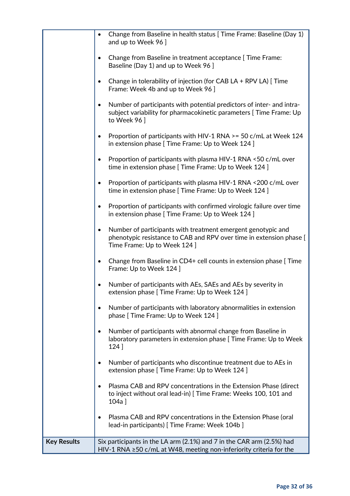|                    | Change from Baseline in health status [ Time Frame: Baseline (Day 1)<br>$\bullet$<br>and up to Week 96 ]                                                                         |
|--------------------|----------------------------------------------------------------------------------------------------------------------------------------------------------------------------------|
|                    | Change from Baseline in treatment acceptance [ Time Frame:<br>$\bullet$<br>Baseline (Day 1) and up to Week 96 ]                                                                  |
|                    | Change in tolerability of injection (for CAB LA $+$ RPV LA) [ Time<br>$\bullet$<br>Frame: Week 4b and up to Week 96 ]                                                            |
|                    | Number of participants with potential predictors of inter- and intra-<br>$\bullet$<br>subject variability for pharmacokinetic parameters [ Time Frame: Up<br>to Week 96 ]        |
|                    | Proportion of participants with HIV-1 RNA >= 50 c/mL at Week 124<br>$\bullet$<br>in extension phase [ Time Frame: Up to Week 124 ]                                               |
|                    | Proportion of participants with plasma HIV-1 RNA <50 c/mL over<br>time in extension phase [ Time Frame: Up to Week 124 ]                                                         |
|                    | Proportion of participants with plasma HIV-1 RNA <200 c/mL over<br>time in extension phase [ Time Frame: Up to Week 124 ]                                                        |
|                    | Proportion of participants with confirmed virologic failure over time<br>$\bullet$<br>in extension phase [ Time Frame: Up to Week 124 ]                                          |
|                    | Number of participants with treatment emergent genotypic and<br>$\bullet$<br>phenotypic resistance to CAB and RPV over time in extension phase [<br>Time Frame: Up to Week 124 ] |
|                    | Change from Baseline in CD4+ cell counts in extension phase [ Time<br>Frame: Up to Week 124 ]                                                                                    |
|                    | Number of participants with AEs, SAEs and AEs by severity in<br>extension phase [ Time Frame: Up to Week 124 ]                                                                   |
|                    | Number of participants with laboratory abnormalities in extension<br>phase [ Time Frame: Up to Week 124 ]                                                                        |
|                    | Number of participants with abnormal change from Baseline in<br>laboratory parameters in extension phase [ Time Frame: Up to Week<br>$124$ ]                                     |
|                    | Number of participants who discontinue treatment due to AEs in<br>extension phase [ Time Frame: Up to Week 124 ]                                                                 |
|                    | Plasma CAB and RPV concentrations in the Extension Phase (direct<br>$\bullet$<br>to inject without oral lead-in) [ Time Frame: Weeks 100, 101 and<br>104a]                       |
|                    | Plasma CAB and RPV concentrations in the Extension Phase (oral<br>lead-in participants) [ Time Frame: Week 104b ]                                                                |
| <b>Key Results</b> | Six participants in the LA arm (2.1%) and 7 in the CAR arm (2.5%) had                                                                                                            |
|                    | HIV-1 RNA $\geq$ 50 c/mL at W48, meeting non-inferiority criteria for the                                                                                                        |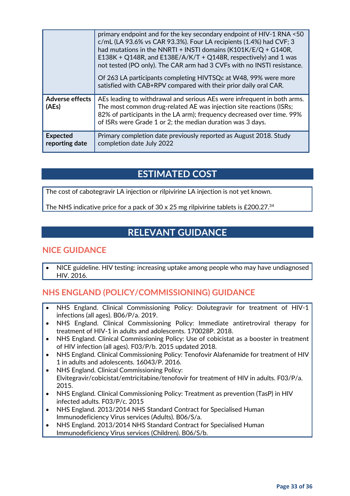|                                   | primary endpoint and for the key secondary endpoint of HIV-1 RNA <50<br>c/mL (LA 93.6% vs CAR 93.3%). Four LA recipients (1.4%) had CVF; 3<br>had mutations in the NNRTI + INSTI domains $(K101K/E/Q + G140R,$<br>E138K + Q148R, and E138E/A/K/T + Q148R, respectively) and 1 was<br>not tested (PO only). The CAR arm had 3 CVFs with no INSTI resistance.<br>Of 263 LA participants completing HIVTSQc at W48, 99% were more<br>satisfied with CAB+RPV compared with their prior daily oral CAR. |
|-----------------------------------|----------------------------------------------------------------------------------------------------------------------------------------------------------------------------------------------------------------------------------------------------------------------------------------------------------------------------------------------------------------------------------------------------------------------------------------------------------------------------------------------------|
| <b>Adverse effects</b><br>(AEs)   | AEs leading to withdrawal and serious AEs were infrequent in both arms.<br>The most common drug-related AE was injection site reactions (ISRs;<br>82% of participants in the LA arm); frequency decreased over time. 99%<br>of ISRs were Grade 1 or 2; the median duration was 3 days.                                                                                                                                                                                                             |
| <b>Expected</b><br>reporting date | Primary completion date previously reported as August 2018. Study<br>completion date July 2022                                                                                                                                                                                                                                                                                                                                                                                                     |

### **ESTIMATED COST**

The cost of cabotegravir LA injection or rilpivirine LA injection is not yet known.

The NHS indicative price for a pack of 30 x 25 mg rilpivirine tablets is £200.27.<sup>34</sup>

### **RELEVANT GUIDANCE**

### **NICE GUIDANCE**

• NICE guideline. HIV testing: increasing uptake among people who may have undiagnosed HIV. 2016.

### **NHS ENGLAND (POLICY/COMMISSIONING) GUIDANCE**

- NHS England. Clinical Commissioning Policy: Dolutegravir for treatment of HIV-1 infections (all ages). B06/P/a. 2019.
- NHS England. Clinical Commissioning Policy: Immediate antiretroviral therapy for treatment of HIV-1 in adults and adolescents. 170028P. 2018.
- NHS England. Clinical Commissioning Policy: Use of cobicistat as a booster in treatment of HIV infection (all ages). F03/P/b. 2015 updated 2018.
- NHS England. Clinical Commissioning Policy: Tenofovir Alafenamide for treatment of HIV 1 in adults and adolescents. 16043/P. 2016.
- NHS England. Clinical Commissioning Policy: Elvitegravir/cobicistat/emtricitabine/tenofovir for treatment of HIV in adults. F03/P/a. 2015.
- NHS England. Clinical Commissioning Policy: Treatment as prevention (TasP) in HIV infected adults. F03/P/c. 2015
- NHS England. 2013/2014 NHS Standard Contract for Specialised Human Immunodeficiency Virus services (Adults). B06/S/a.
- NHS England. 2013/2014 NHS Standard Contract for Specialised Human Immunodeficiency Virus services (Children). B06/S/b.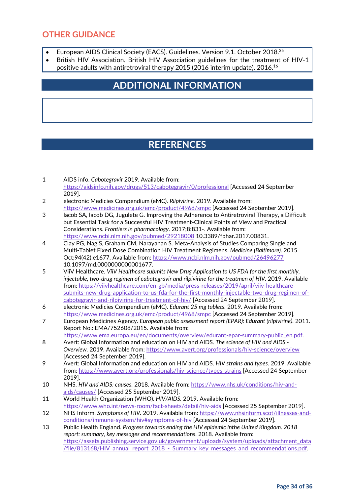#### **OTHER GUIDANCE**

- European AIDS Clinical Society (EACS). Guidelines. Version 9.1. October 2018.<sup>35</sup>
- British HIV Association. British HIV Association guidelines for the treatment of HIV-1 positive adults with antiretroviral therapy 2015 (2016 interim update). 2016.16

### **ADDITIONAL INFORMATION**

### **REFERENCES**

- 1 AIDS info. *Cabotegravir* 2019. Available from: <https://aidsinfo.nih.gov/drugs/513/cabotegravir/0/professional> [Accessed 24 September 2019].
- 2 electronic Medicies Compendium (eMC). *Rilpivirine.* 2019. Available from: <https://www.medicines.org.uk/emc/product/4968/smpc> [Accessed 24 September 2019].
- 3 Iacob SA, Iacob DG, Jugulete G. Improving the Adherence to Antiretroviral Therapy, a Difficult but Essential Task for a Successful HIV Treatment-Clinical Points of View and Practical Considerations. *Frontiers in pharmacology*. 2017;8:831-. Available from: <https://www.ncbi.nlm.nih.gov/pubmed/29218008> 10.3389/fphar.2017.00831.
- 4 Clay PG, Nag S, Graham CM, Narayanan S. Meta-Analysis of Studies Comparing Single and Multi-Tablet Fixed Dose Combination HIV Treatment Regimens. *Medicine (Baltimore)*. 2015 Oct;94(42):e1677. Available from:<https://www.ncbi.nlm.nih.gov/pubmed/26496277> 10.1097/md.0000000000001677.
- 5 ViiV Healthcare. *ViiV Healthcare submits New Drug Application to US FDA for the first monthly, injectable, two-drug regimen of cabotegravir and rilpivirine for the treatmen of HIV.* 2019. Available from: [https://viivhealthcare.com/en-gb/media/press-releases/2019/april/viiv-healthcare](https://viivhealthcare.com/en-gb/media/press-releases/2019/april/viiv-healthcare-submits-new-drug-application-to-us-fda-for-the-first-monthly-injectable-two-drug-regimen-of-cabotegravir-and-rilpivirine-for-treatment-of-hiv/)[submits-new-drug-application-to-us-fda-for-the-first-monthly-injectable-two-drug-regimen-of](https://viivhealthcare.com/en-gb/media/press-releases/2019/april/viiv-healthcare-submits-new-drug-application-to-us-fda-for-the-first-monthly-injectable-two-drug-regimen-of-cabotegravir-and-rilpivirine-for-treatment-of-hiv/)[cabotegravir-and-rilpivirine-for-treatment-of-hiv/](https://viivhealthcare.com/en-gb/media/press-releases/2019/april/viiv-healthcare-submits-new-drug-application-to-us-fda-for-the-first-monthly-injectable-two-drug-regimen-of-cabotegravir-and-rilpivirine-for-treatment-of-hiv/) [Accessed 24 September 2019].
- 6 electronic Medicies Compendium (eMC). *Edurant 25 mg tablets.* 2019. Available from: <https://www.medicines.org.uk/emc/product/4968/smpc> [Accessed 24 September 2019].
- 7 European Medicines Agency. *European public assessment report (EPAR): Edurant (rilpivirine)*. 2011. Report No.: EMA/752608/2015. Available from:

[https://www.ema.europa.eu/en/documents/overview/edurant-epar-summary-public\\_en.pdf.](https://www.ema.europa.eu/en/documents/overview/edurant-epar-summary-public_en.pdf)

- 8 Avert: Global Information and education on HIV and AIDS. *The science of HIV and AIDS - Overview.* 2019. Available from:<https://www.avert.org/professionals/hiv-science/overview> [Accessed 24 September 2019].
- 9 Avert: Global Information and education on HIV and AIDS. *HIV strains and types.* 2019. Available from:<https://www.avert.org/professionals/hiv-science/types-strains> [Accessed 24 September 2019].
- 10 NHS. *HIV and AIDS: causes.* 2018. Available from: [https://www.nhs.uk/conditions/hiv-and](https://www.nhs.uk/conditions/hiv-and-aids/causes/)[aids/causes/](https://www.nhs.uk/conditions/hiv-and-aids/causes/) [Accessed 25 September 2019].
- 11 World Health Organization (WHO). *HIV/AIDS.* 2019. Available from: <https://www.who.int/news-room/fact-sheets/detail/hiv-aids> [Accessed 25 September 2019].
- 12 NHS Inform. *Symptoms of HIV.* 2019. Available from: [https://www.nhsinform.scot/illnesses-and](https://www.nhsinform.scot/illnesses-and-conditions/immune-system/hiv#symptoms-of-hiv)[conditions/immune-system/hiv#symptoms-of-hiv](https://www.nhsinform.scot/illnesses-and-conditions/immune-system/hiv#symptoms-of-hiv) [Accessed 24 September 2019].
- 13 Public Health England. *Progress towards ending the HIV epidemic inthe United Kingdom. 2018 report: summary, key messages and recommendations*. 2018. Available from: [https://assets.publishing.service.gov.uk/government/uploads/system/uploads/attachment\\_data](https://assets.publishing.service.gov.uk/government/uploads/system/uploads/attachment_data/file/813168/HIV_annual_report_2018_-_Summary_key_messages_and_recommendations.pdf) [/file/813168/HIV\\_annual\\_report\\_2018\\_-\\_Summary\\_key\\_messages\\_and\\_recommendations.pdf.](https://assets.publishing.service.gov.uk/government/uploads/system/uploads/attachment_data/file/813168/HIV_annual_report_2018_-_Summary_key_messages_and_recommendations.pdf)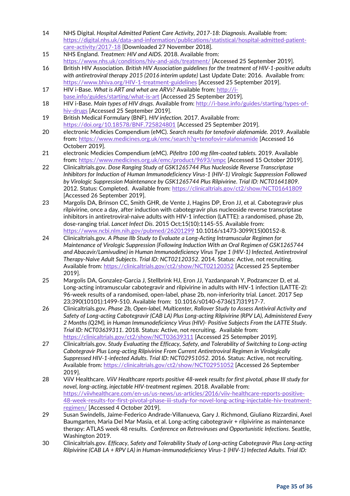- 14 NHS Digital. *Hospital Admitted Patient Care Activity, 2017-18: Diagnosis*. Available from: [https://digital.nhs.uk/data-and-information/publications/statistical/hospital-admitted-patient](https://digital.nhs.uk/data-and-information/publications/statistical/hospital-admitted-patient-care-activity/2017-18)[care-activity/2017-18](https://digital.nhs.uk/data-and-information/publications/statistical/hospital-admitted-patient-care-activity/2017-18) [Downloaded 27 November 2018].
- 15 NHS England. *Treatmen: HIV and AIDS.* 2018. Available from: <https://www.nhs.uk/conditions/hiv-and-aids/treatment/> [Accessed 25 September 2019].
- 16 British HIV Association. *British HIV Association guidelines for the treatment of HIV-1-positive adults with antiretroviral therapy 2015 (2016 interim update)* Last Update Date: 2016. Available from: <https://www.bhiva.org/HIV-1-treatment-guidelines> [Accessed 25 September 2019].
- 17 HIV i-Base. *What is ART and what are ARVs?* Available from: [http://i](http://i-base.info/guides/starting/what-is-art)[base.info/guides/starting/what-is-art](http://i-base.info/guides/starting/what-is-art) [Accessed 25 September 2019].
- 18 HIV i-Base. *Main types of HIV drugs.* Available from: [http://i-base.info/guides/starting/types-of](http://i-base.info/guides/starting/types-of-hiv-drugs)[hiv-drugs](http://i-base.info/guides/starting/types-of-hiv-drugs) [Accessed 25 September 2019].
- 19 British Medical Formulary (BNF). *HIV infection.* 2017. Available from: <https://doi.org/10.18578/BNF.725824801> [Accessed 25 September 2019].
- 20 electronic Medicies Compendium (eMC). *Search results for tenofovir alafenamide.* 2019. Available from:<https://www.medicines.org.uk/emc/search?q=tenofovir+alafenamide> [Accessed 16 Octoberr 2019].
- 21 electronic Medicies Compendium (eMC). *Pifeltro 100 mg film-coated tablets.* 2019. Available from:<https://www.medicines.org.uk/emc/product/9693/smpc> [Accessed 15 October 2019].
- 22 Clinicaltrials.gov. *Dose Ranging Study of GSK1265744 Plus Nucleoside Reverse Transcriptase Inhibitors for Induction of Human Immunodeficiency Virus-1 (HIV-1) Virologic Suppression Followed by Virologic Suppression Maintenance by GSK1265744 Plus Rilpivirine*. *Trial ID: NCT01641809*. 2012. Status: Completed. Available from:<https://clinicaltrials.gov/ct2/show/NCT01641809> [Accessed 26 September 2019].
- 23 Margolis DA, Brinson CC, Smith GHR, de Vente J, Hagins DP, Eron JJ, et al. Cabotegravir plus rilpivirine, once a day, after induction with cabotegravir plus nucleoside reverse transcriptase inhibitors in antiretroviral-naive adults with HIV-1 infection (LATTE): a randomised, phase 2b, dose-ranging trial. *Lancet Infect Dis*. 2015 Oct;15(10):1145-55. Available from: <https://www.ncbi.nlm.nih.gov/pubmed/26201299> 10.1016/s1473-3099(15)00152-8.
- 24 Clinicaltrials.gov. *A Phase IIb Study to Evaluate a Long-Acting Intramuscular Regimen for Maintenance of Virologic Suppression (Following Induction With an Oral Regimen of GSK1265744 and Abacavir/Lamivudine) in Human Immunodeficiency Virus Type 1 (HIV-1) Infected, Antiretroviral Therapy-Naive Adult Subjects*. *Trial ID: NCT02120352*. 2014. Status: Active, not recruiting. Available from:<https://clinicaltrials.gov/ct2/show/NCT02120352> [Accessed 25 September 2019].
- 25 Margolis DA, Gonzalez-Garcia J, Stellbrink HJ, Eron JJ, Yazdanpanah Y, Podzamczer D, et al. Long-acting intramuscular cabotegravir and rilpivirine in adults with HIV-1 infection (LATTE-2): 96-week results of a randomised, open-label, phase 2b, non-inferiority trial. *Lancet*. 2017 Sep 23;390(10101):1499-510. Available from: 10.1016/s0140-6736(17)31917-7.
- 26 Clinicaltrials.gov. *Phase 2b, Open-label, Multicenter, Rollover Study to Assess Antiviral Activity and Safety of Long-acting Cabotegravir (CAB LA) Plus Long-acting Rilpivirine (RPV LA), Administered Every 2 Months (Q2M), in Human Immunodeficiency Virus (HIV)- Positive Subjects From the LATTE Study*. *Trial ID: NCT03639311*. 2018. Status: Active, not recruiting. Available from: <https://clinicaltrials.gov/ct2/show/NCT03639311> [Accessed 25 Setempber 2019].
- 27 Clinicaltrials.gov. *Study Evaluating the Efficacy, Safety, and Tolerability of Switching to Long-acting Cabotegravir Plus Long-acting Rilpivirine From Current Antiretroviral Regimen in Virologically Suppressed HIV-1-infected Adults*. *Trial ID: NCT02951052*. 2016. Status: Active, not recruiting. Available from:<https://clinicaltrials.gov/ct2/show/NCT02951052> [Accessed 26 September 2019].
- 28 ViiV Healthcare. *ViiV Healthcare reports positive 48-week results for first pivotal, phase III study for novel, long-acting, injectable HIV-treatment regimen.* 2018. Available from: [https://viivhealthcare.com/en-us/us-news/us-articles/2016/viiv-healthcare-reports-positive-](https://viivhealthcare.com/en-us/us-news/us-articles/2016/viiv-healthcare-reports-positive-48-week-results-for-first-pivotal-phase-iii-study-for-novel-long-acting-injectable-hiv-treatment-regimen/)[48-week-results-for-first-pivotal-phase-iii-study-for-novel-long-acting-injectable-hiv-treatment](https://viivhealthcare.com/en-us/us-news/us-articles/2016/viiv-healthcare-reports-positive-48-week-results-for-first-pivotal-phase-iii-study-for-novel-long-acting-injectable-hiv-treatment-regimen/)[regimen/](https://viivhealthcare.com/en-us/us-news/us-articles/2016/viiv-healthcare-reports-positive-48-week-results-for-first-pivotal-phase-iii-study-for-novel-long-acting-injectable-hiv-treatment-regimen/) [Accessed 4 October 2019].
- 29 Susan Swindells, Jaime-Federico Andrade-Villanueva, Gary J. Richmond, Giuliano Rizzardini, Axel Baumgarten, Maria Del Mar Masia, et al. Long-acting cabotegravir + rilpivirine as maintenance therapy: ATLAS week 48 results. *Conference on Retroviruses and Opportunistic Infections*. Seattle, Washington 2019.
- 30 Clinicaltrials.gov. *Efficacy, Safety and Tolerability Study of Long-acting Cabotegravir Plus Long-acting Rilpivirine (CAB LA + RPV LA) in Human-immunodeficiency Virus-1 (HIV-1) Infected Adults*. *Trial ID:*